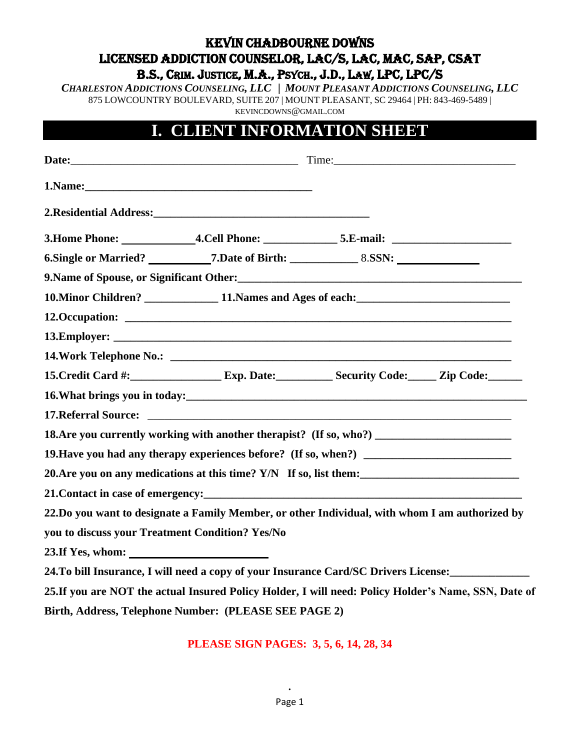CHARLESTON ADDICTIONS COUNSELING, LLC | MOUNT PLEASANT ADDICTIONS COUNSELING, LLC 875 LOWCOUNTRY BOULEVARD, SUITE 207 | MOUNT PLEASANT, SC 29464 | PH: 843-469-5489 |

KEVINCDOWNS@GMAIL.COM

# **I. CLIENT INFORMATION SHEET**

| Date: Time: Time: Time: Time: Time: Time: Time: Time: Time: Time: Time: Time: Time: Time: Time: Time: Time: Time: Time: Time: Time: Time: Time: Time: Time: Time: Time: Time: Time: Time: Time: Time: Time: Time: Time: Time: |  |
|-------------------------------------------------------------------------------------------------------------------------------------------------------------------------------------------------------------------------------|--|
|                                                                                                                                                                                                                               |  |
|                                                                                                                                                                                                                               |  |
|                                                                                                                                                                                                                               |  |
|                                                                                                                                                                                                                               |  |
| 9. Name of Spouse, or Significant Other:<br>1. The Spouse of Spouse, or Significant Other:                                                                                                                                    |  |
| 10. Minor Children? _______________ 11. Names and Ages of each: _________________                                                                                                                                             |  |
|                                                                                                                                                                                                                               |  |
|                                                                                                                                                                                                                               |  |
|                                                                                                                                                                                                                               |  |
| 15. Credit Card #: Exp. Date: Security Code: Zip Code:                                                                                                                                                                        |  |
|                                                                                                                                                                                                                               |  |
|                                                                                                                                                                                                                               |  |
|                                                                                                                                                                                                                               |  |
| 19. Have you had any therapy experiences before? (If so, when?) _________________                                                                                                                                             |  |
| 20. Are you on any medications at this time? Y/N If so, list them:                                                                                                                                                            |  |
|                                                                                                                                                                                                                               |  |
| 22.Do you want to designate a Family Member, or other Individual, with whom I am authorized by                                                                                                                                |  |
| you to discuss your Treatment Condition? Yes/No                                                                                                                                                                               |  |
|                                                                                                                                                                                                                               |  |
| 24. To bill Insurance, I will need a copy of your Insurance Card/SC Drivers License:                                                                                                                                          |  |
| 25. If you are NOT the actual Insured Policy Holder, I will need: Policy Holder's Name, SSN, Date of                                                                                                                          |  |
| Birth, Address, Telephone Number: (PLEASE SEE PAGE 2)                                                                                                                                                                         |  |

#### **PLEASE SIGN PAGES: 3, 5, 6, 14, 28, 34**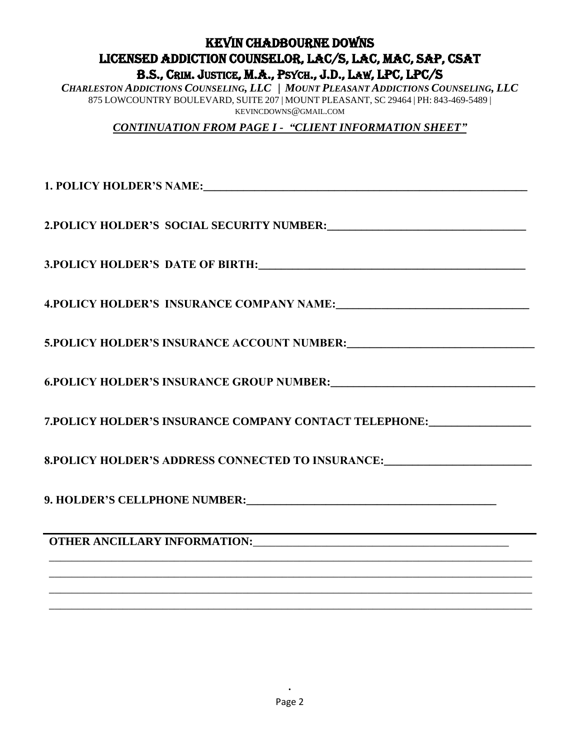CHARLESTON ADDICTIONS COUNSELING, LLC | MOUNT PLEASANT ADDICTIONS COUNSELING, LLC 875 LOWCOUNTRY BOULEVARD, SUITE 207 | MOUNT PLEASANT, SC 29464 | PH: 843-469-5489 | KEVINCDOWNS@GMAIL.COM

#### *CONTINUATION FROM PAGE I - "CLIENT INFORMATION SHEET"*

| 3.POLICY HOLDER'S DATE OF BIRTH:                                                                                                                                                                                               |
|--------------------------------------------------------------------------------------------------------------------------------------------------------------------------------------------------------------------------------|
| 4. POLICY HOLDER'S INSURANCE COMPANY NAME:                                                                                                                                                                                     |
| 5.POLICY HOLDER'S INSURANCE ACCOUNT NUMBER:                                                                                                                                                                                    |
|                                                                                                                                                                                                                                |
| 7. POLICY HOLDER'S INSURANCE COMPANY CONTACT TELEPHONE:                                                                                                                                                                        |
| 8.POLICY HOLDER'S ADDRESS CONNECTED TO INSURANCE:                                                                                                                                                                              |
| 9. HOLDER'S CELLPHONE NUMBER:<br><u> </u>                                                                                                                                                                                      |
| OTHER ANCILLARY INFORMATION: MARIE AND THE ANGLE AND THE ANGLE AND THE ANGLE AND THE ANGLE AND THE ANGLE AND THE ANGLE AND THE ANGLE AND THE ANGLE AND THE ANGLE AND THE ANGLE AND THE ANGLE AND THE ANGLE AND THE ANGLE AND T |
| and the control of the control of the control of the control of the control of the control of the control of the<br><u> 1989 - Johann Stoff, amerikansk politiker (d. 1989)</u>                                                |

 $\_$  , and the set of the set of the set of the set of the set of the set of the set of the set of the set of the set of the set of the set of the set of the set of the set of the set of the set of the set of the set of th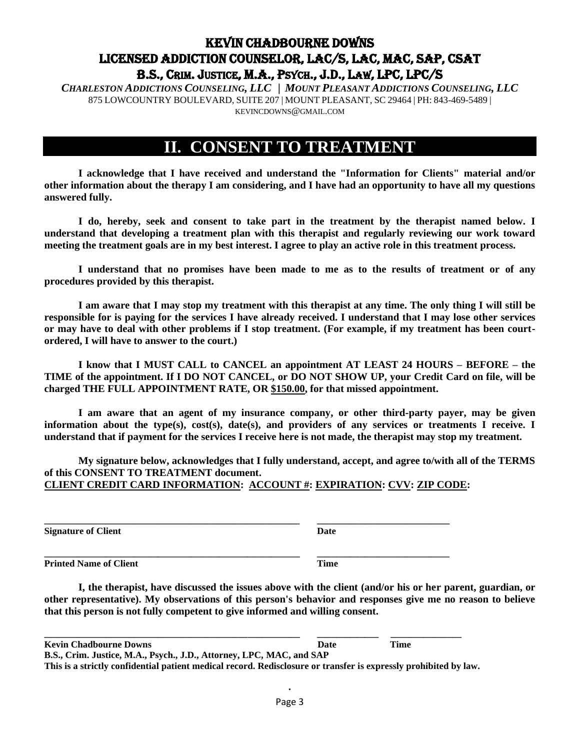**CHARLESTON ADDICTIONS COUNSELING, LLC | MOUNT PLEASANT ADDICTIONS COUNSELING, LLC** 875 LOWCOUNTRY BOULEVARD, SUITE 207 | MOUNT PLEASANT, SC 29464 | PH: 843-469-5489 | KEVINCDOWNS@GMAIL.COM

# **II. CONSENT TO TREATMENT**

**I acknowledge that I have received and understand the "Information for Clients" material and/or other information about the therapy I am considering, and I have had an opportunity to have all my questions answered fully.** 

**I do, hereby, seek and consent to take part in the treatment by the therapist named below. I understand that developing a treatment plan with this therapist and regularly reviewing our work toward meeting the treatment goals are in my best interest. I agree to play an active role in this treatment process.** 

**I understand that no promises have been made to me as to the results of treatment or of any procedures provided by this therapist.** 

**I am aware that I may stop my treatment with this therapist at any time. The only thing I will still be responsible for is paying for the services I have already received. I understand that I may lose other services or may have to deal with other problems if I stop treatment. (For example, if my treatment has been courtordered, I will have to answer to the court.)** 

**I know that I MUST CALL to CANCEL an appointment AT LEAST 24 HOURS – BEFORE – the TIME of the appointment. If I DO NOT CANCEL, or DO NOT SHOW UP, your Credit Card on file, will be charged THE FULL APPOINTMENT RATE, OR \$150.00, for that missed appointment.** 

**I am aware that an agent of my insurance company, or other third-party payer, may be given information about the type(s), cost(s), date(s), and providers of any services or treatments I receive. I understand that if payment for the services I receive here is not made, the therapist may stop my treatment.** 

**My signature below, acknowledges that I fully understand, accept, and agree to/with all of the TERMS of this CONSENT TO TREATMENT document.** 

**CLIENT CREDIT CARD INFORMATION: ACCOUNT #: EXPIRATION: CVV: ZIP CODE:**

**Signature of Client Date** 

**Printed Name of Client Time**

**I, the therapist, have discussed the issues above with the client (and/or his or her parent, guardian, or other representative). My observations of this person's behavior and responses give me no reason to believe that this person is not fully competent to give informed and willing consent.** 

**\_\_\_\_\_\_\_\_\_\_\_\_\_\_\_\_\_\_\_\_\_\_\_\_\_\_\_\_\_\_\_\_\_\_\_\_\_\_\_\_\_\_\_\_\_\_\_\_\_\_\_\_\_\_ \_\_\_\_\_\_\_\_\_\_\_\_\_ \_\_\_\_\_\_\_\_\_\_\_\_\_\_\_ Kevin Chadbourne Downs Date Review Accounting Service Contract Participate Review Accounting Service Contract Participate Review Only and Time B.S., Crim. Justice, M.A., Psych., J.D., Attorney, LPC, MAC, and SAP**

**This is a strictly confidential patient medical record. Redisclosure or transfer is expressly prohibited by law.**

**\_\_\_\_\_\_\_\_\_\_\_\_\_\_\_\_\_\_\_\_\_\_\_\_\_\_\_\_\_\_\_\_\_\_\_\_\_\_\_\_\_\_\_\_\_\_\_\_\_\_\_\_\_\_ \_\_\_\_\_\_\_\_\_\_\_\_\_\_\_\_\_\_\_\_\_\_\_\_\_\_\_\_** 

**\_\_\_\_\_\_\_\_\_\_\_\_\_\_\_\_\_\_\_\_\_\_\_\_\_\_\_\_\_\_\_\_\_\_\_\_\_\_\_\_\_\_\_\_\_\_\_\_\_\_\_\_\_\_ \_\_\_\_\_\_\_\_\_\_\_\_\_\_\_\_\_\_\_\_\_\_\_\_\_\_\_\_**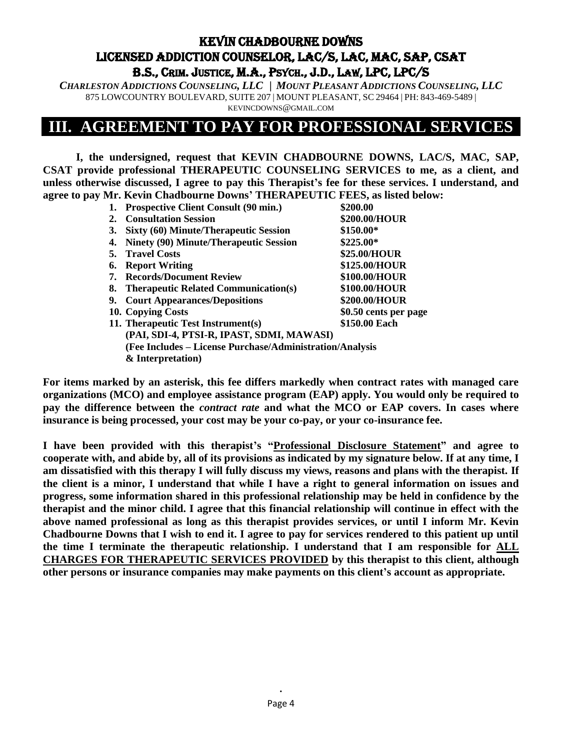CHARLESTON ADDICTIONS COUNSELING, LLC | MOUNT PLEASANT ADDICTIONS COUNSELING, LLC 875 LOWCOUNTRY BOULEVARD, SUITE 207 | MOUNT PLEASANT, SC 29464 | PH: 843-469-5489 | KEVINCDOWNS@GMAIL.COM

# **III. AGREEMENT TO PAY FOR PROFESSIONAL SERVICES**

**I, the undersigned, request that KEVIN CHADBOURNE DOWNS, LAC/S, MAC, SAP, CSAT provide professional THERAPEUTIC COUNSELING SERVICES to me, as a client, and unless otherwise discussed, I agree to pay this Therapist's fee for these services. I understand, and agree to pay Mr. Kevin Chadbourne Downs' THERAPEUTIC FEES, as listed below:**

- **1. Prospective Client Consult (90 min.) \$200.00**
- **2. Consultation Session \$200.00/HOUR**
- **3. Sixty (60) Minute/Therapeutic Session \$150.00\***
- **4. Ninety (90) Minute/Therapeutic Session \$225.00\***
- **5. Travel Costs \$25.00/HOUR**
- **6. Report Writing \$125.00/HOUR**
- **7. Records/Document Review \$100.00/HOUR**
- **8. Therapeutic Related Communication(s) \$100.00/HOUR**
- **9. Court Appearances/Depositions \$200.00/HOUR**
- 
- **11. Therapeutic Test Instrument(s) \$150.00 Each (PAI, SDI-4, PTSI-R, IPAST, SDMI, MAWASI) (Fee Includes – License Purchase/Administration/Analysis & Interpretation)**

**10. Copying Costs \$0.50 cents per page**

**For items marked by an asterisk, this fee differs markedly when contract rates with managed care organizations (MCO) and employee assistance program (EAP) apply. You would only be required to pay the difference between the** *contract rate* **and what the MCO or EAP covers. In cases where insurance is being processed, your cost may be your co-pay, or your co-insurance fee.**

**I have been provided with this therapist's "Professional Disclosure Statement" and agree to cooperate with, and abide by, all of its provisions as indicated by my signature below. If at any time, I am dissatisfied with this therapy I will fully discuss my views, reasons and plans with the therapist. If the client is a minor, I understand that while I have a right to general information on issues and progress, some information shared in this professional relationship may be held in confidence by the therapist and the minor child. I agree that this financial relationship will continue in effect with the above named professional as long as this therapist provides services, or until I inform Mr. Kevin Chadbourne Downs that I wish to end it. I agree to pay for services rendered to this patient up until the time I terminate the therapeutic relationship. I understand that I am responsible for ALL CHARGES FOR THERAPEUTIC SERVICES PROVIDED by this therapist to this client, although other persons or insurance companies may make payments on this client's account as appropriate.**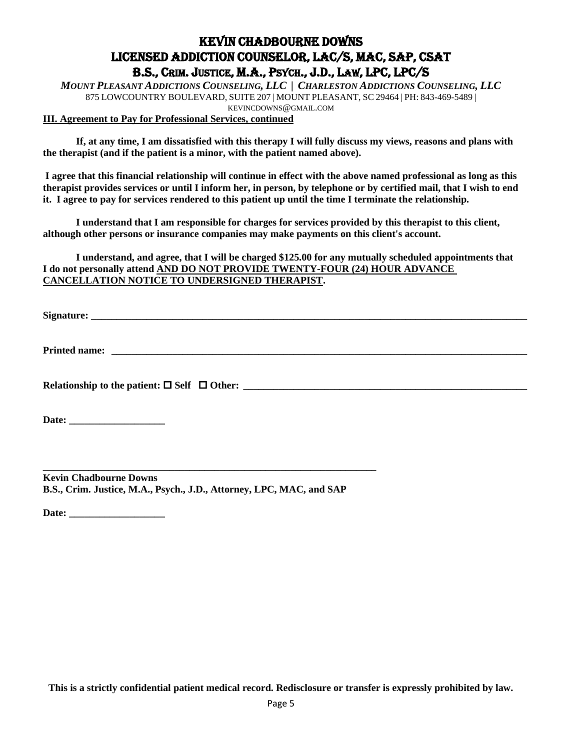MOUNT PLEASANT ADDICTIONS COUNSELING, LLC | CHARLESTON ADDICTIONS COUNSELING, LLC 875 LOWCOUNTRY BOULEVARD, SUITE 207 | MOUNT PLEASANT, SC 29464 | PH: 843-469-5489 | KEVINCDOWNS@GMAIL.COM

#### **III. Agreement to Pay for Professional Services, continued**

**If, at any time, I am dissatisfied with this therapy I will fully discuss my views, reasons and plans with the therapist (and if the patient is a minor, with the patient named above).** 

**I agree that this financial relationship will continue in effect with the above named professional as long as this therapist provides services or until I inform her, in person, by telephone or by certified mail, that I wish to end it. I agree to pay for services rendered to this patient up until the time I terminate the relationship.** 

**I understand that I am responsible for charges for services provided by this therapist to this client, although other persons or insurance companies may make payments on this client's account.** 

**I understand, and agree, that I will be charged \$125.00 for any mutually scheduled appointments that I do not personally attend AND DO NOT PROVIDE TWENTY-FOUR (24) HOUR ADVANCE CANCELLATION NOTICE TO UNDERSIGNED THERAPIST.**

**Signature:**  $\blacksquare$ 

**Printed name:** 

**Relationship to the patient:**  $\square$  **Self**  $\square$  Other:

**Date: \_\_\_\_\_\_\_\_\_\_\_\_\_\_\_\_\_\_\_** 

**Kevin Chadbourne Downs B.S., Crim. Justice, M.A., Psych., J.D., Attorney, LPC, MAC, and SAP**

**\_\_\_\_\_\_\_\_\_\_\_\_\_\_\_\_\_\_\_\_\_\_\_\_\_\_\_\_\_\_\_\_\_\_\_\_\_\_\_\_\_\_\_\_\_\_\_\_\_\_\_\_\_\_\_\_\_\_\_\_\_\_\_\_\_\_**

**Date: \_\_\_\_\_\_\_\_\_\_\_\_\_\_\_\_\_\_\_**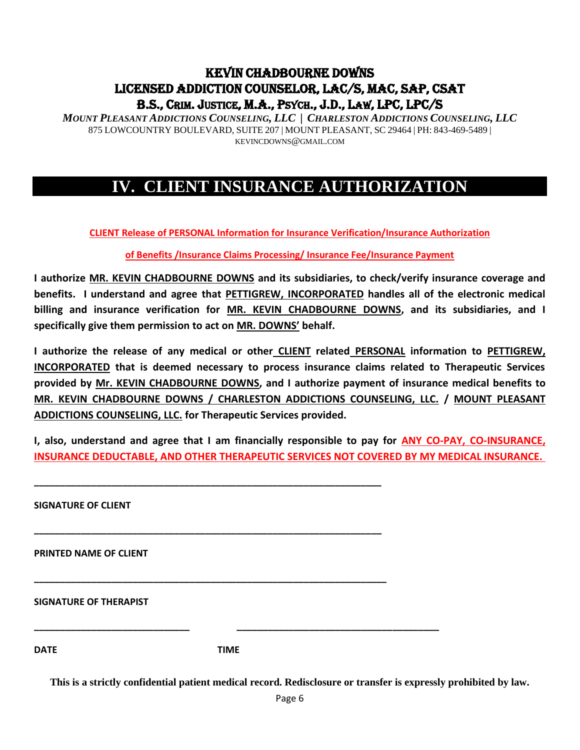Mount Pleasant Addictions Counseling, LLC | Charleston Addictions Counseling, LLC 875 LOWCOUNTRY BOULEVARD, SUITE 207 | MOUNT PLEASANT, SC 29464 | PH: 843-469-5489 | KEVINCDOWNS@GMAIL.COM

# **IV. CLIENT INSURANCE AUTHORIZATION**

**CLIENT Release of PERSONAL Information for Insurance Verification/Insurance Authorization**

**of Benefits /Insurance Claims Processing/ Insurance Fee/Insurance Payment**

**I authorize MR. KEVIN CHADBOURNE DOWNS and its subsidiaries, to check/verify insurance coverage and benefits. I understand and agree that PETTIGREW, INCORPORATED handles all of the electronic medical billing and insurance verification for MR. KEVIN CHADBOURNE DOWNS, and its subsidiaries, and I specifically give them permission to act on MR. DOWNS' behalf.** 

**I authorize the release of any medical or other CLIENT related PERSONAL information to PETTIGREW, INCORPORATED that is deemed necessary to process insurance claims related to Therapeutic Services provided by Mr. KEVIN CHADBOURNE DOWNS, and I authorize payment of insurance medical benefits to MR. KEVIN CHADBOURNE DOWNS / CHARLESTON ADDICTIONS COUNSELING, LLC. / MOUNT PLEASANT ADDICTIONS COUNSELING, LLC. for Therapeutic Services provided.** 

**I, also, understand and agree that I am financially responsible to pay for ANY CO-PAY, CO-INSURANCE, INSURANCE DEDUCTABLE, AND OTHER THERAPEUTIC SERVICES NOT COVERED BY MY MEDICAL INSURANCE.** 

**SIGNATURE OF CLIENT**

**PRINTED NAME OF CLIENT**

**SIGNATURE OF THERAPIST**

**DATE** TIME

**\_\_\_\_\_\_\_\_\_\_\_\_\_\_\_\_\_\_\_\_\_\_\_\_\_\_\_\_\_\_ \_\_\_\_\_\_\_\_\_\_\_\_\_\_\_\_\_\_\_\_\_\_\_\_\_\_\_\_\_\_\_\_\_\_\_\_\_\_\_**

**\_\_\_\_\_\_\_\_\_\_\_\_\_\_\_\_\_\_\_\_\_\_\_\_\_\_\_\_\_\_\_\_\_\_\_\_\_\_\_\_\_\_\_\_\_\_\_\_\_\_\_\_\_\_\_\_\_\_\_\_\_\_\_\_\_\_\_**

**\_\_\_\_\_\_\_\_\_\_\_\_\_\_\_\_\_\_\_\_\_\_\_\_\_\_\_\_\_\_\_\_\_\_\_\_\_\_\_\_\_\_\_\_\_\_\_\_\_\_\_\_\_\_\_\_\_\_\_\_\_\_\_\_\_\_\_**

**\_\_\_\_\_\_\_\_\_\_\_\_\_\_\_\_\_\_\_\_\_\_\_\_\_\_\_\_\_\_\_\_\_\_\_\_\_\_\_\_\_\_\_\_\_\_\_\_\_\_\_\_\_\_\_\_\_\_\_\_\_\_\_\_\_\_\_\_**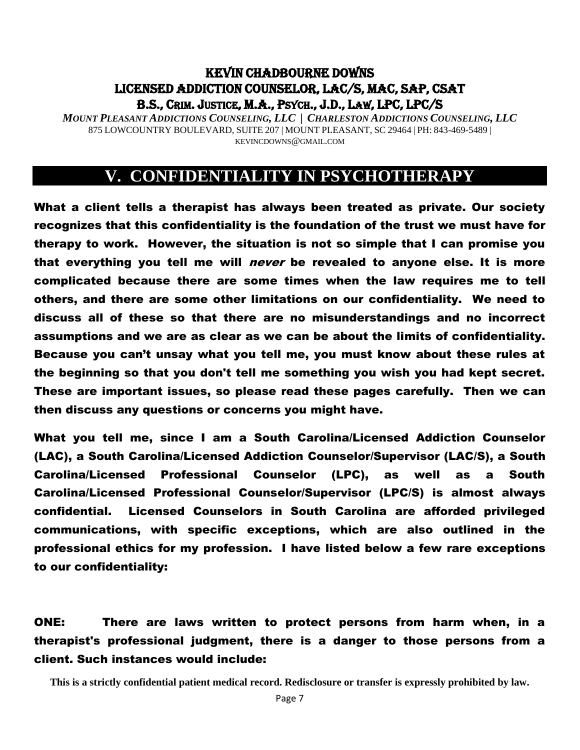MOUNT PLEASANT ADDICTIONS COUNSELING, LLC | CHARLESTON ADDICTIONS COUNSELING, LLC 875 LOWCOUNTRY BOULEVARD, SUITE 207 | MOUNT PLEASANT, SC 29464 | PH: 843-469-5489 | KEVINCDOWNS@GMAIL.COM

# **V. CONFIDENTIALITY IN PSYCHOTHERAPY**

What a client tells a therapist has always been treated as private. Our society recognizes that this confidentiality is the foundation of the trust we must have for therapy to work. However, the situation is not so simple that I can promise you that everything you tell me will *never* be revealed to anyone else. It is more complicated because there are some times when the law requires me to tell others, and there are some other limitations on our confidentiality. We need to discuss all of these so that there are no misunderstandings and no incorrect assumptions and we are as clear as we can be about the limits of confidentiality. Because you can't unsay what you tell me, you must know about these rules at the beginning so that you don't tell me something you wish you had kept secret. These are important issues, so please read these pages carefully. Then we can then discuss any questions or concerns you might have.

What you tell me, since I am a South Carolina/Licensed Addiction Counselor (LAC), a South Carolina/Licensed Addiction Counselor/Supervisor (LAC/S), a South Carolina/Licensed Professional Counselor (LPC), as well as a South Carolina/Licensed Professional Counselor/Supervisor (LPC/S) is almost always confidential. Licensed Counselors in South Carolina are afforded privileged communications, with specific exceptions, which are also outlined in the professional ethics for my profession. I have listed below a few rare exceptions to our confidentiality:

ONE: There are laws written to protect persons from harm when, in a therapist's professional judgment, there is a danger to those persons from a client. Such instances would include: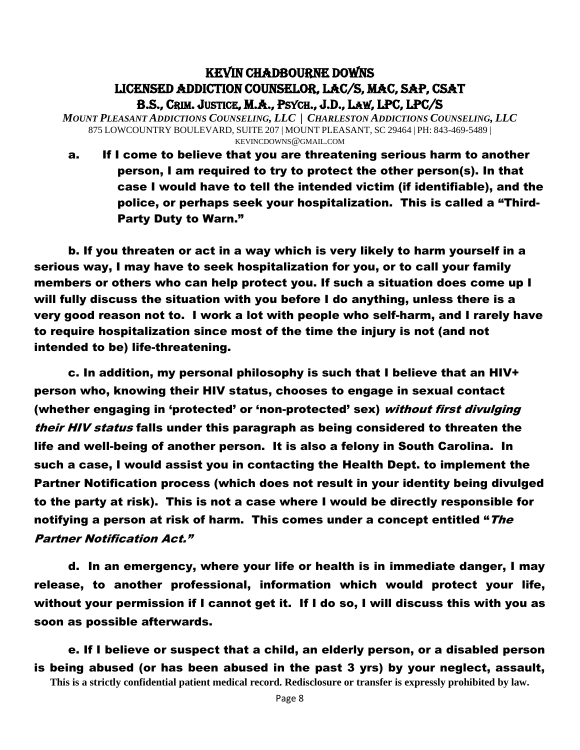MOUNT PLEASANT ADDICTIONS COUNSELING, LLC | CHARLESTON ADDICTIONS COUNSELING, LLC 875 LOWCOUNTRY BOULEVARD, SUITE 207 | MOUNT PLEASANT, SC 29464 | PH: 843-469-5489 | KEVINCDOWNS@GMAIL.COM

a. If I come to believe that you are threatening serious harm to another person, I am required to try to protect the other person(s). In that case I would have to tell the intended victim (if identifiable), and the police, or perhaps seek your hospitalization. This is called a "Third-Party Duty to Warn."

b. If you threaten or act in a way which is very likely to harm yourself in a serious way, I may have to seek hospitalization for you, or to call your family members or others who can help protect you. If such a situation does come up I will fully discuss the situation with you before I do anything, unless there is a very good reason not to. I work a lot with people who self-harm, and I rarely have to require hospitalization since most of the time the injury is not (and not intended to be) life-threatening.

 c. In addition, my personal philosophy is such that I believe that an HIV+ person who, knowing their HIV status, chooses to engage in sexual contact (whether engaging in 'protected' or 'non-protected' sex) without first divulging their HIV status falls under this paragraph as being considered to threaten the life and well-being of another person. It is also a felony in South Carolina. In such a case, I would assist you in contacting the Health Dept. to implement the Partner Notification process (which does not result in your identity being divulged to the party at risk). This is not a case where I would be directly responsible for notifying a person at risk of harm. This comes under a concept entitled "The Partner Notification Act."

d. In an emergency, where your life or health is in immediate danger, I may release, to another professional, information which would protect your life, without your permission if I cannot get it. If I do so, I will discuss this with you as soon as possible afterwards.

**This is a strictly confidential patient medical record. Redisclosure or transfer is expressly prohibited by law.** e. If I believe or suspect that a child, an elderly person, or a disabled person is being abused (or has been abused in the past 3 yrs) by your neglect, assault,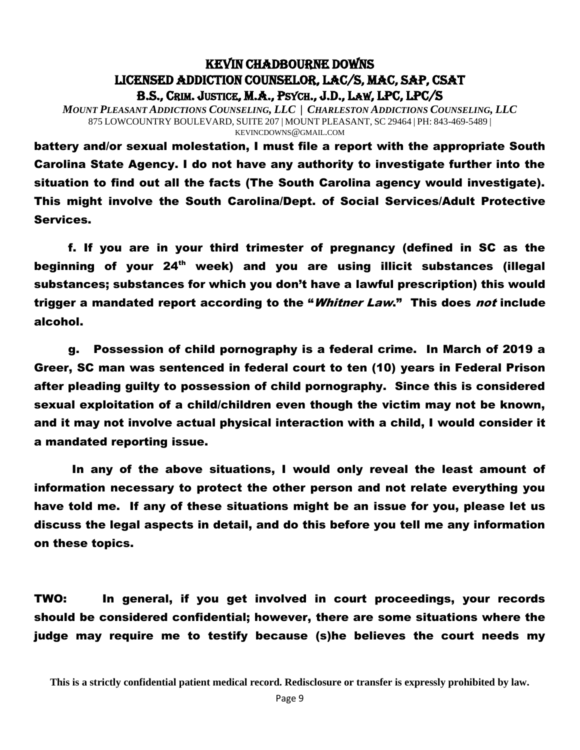MOUNT PLEASANT ADDICTIONS COUNSELING, LLC | CHARLESTON ADDICTIONS COUNSELING, LLC 875 LOWCOUNTRY BOULEVARD, SUITE 207 | MOUNT PLEASANT, SC 29464 | PH: 843-469-5489 | KEVINCDOWNS@GMAIL.COM

battery and/or sexual molestation, I must file a report with the appropriate South Carolina State Agency. I do not have any authority to investigate further into the situation to find out all the facts (The South Carolina agency would investigate). This might involve the South Carolina/Dept. of Social Services/Adult Protective Services.

f. If you are in your third trimester of pregnancy (defined in SC as the beginning of your  $24<sup>th</sup>$  week) and you are using illicit substances (illegal substances; substances for which you don't have a lawful prescription) this would trigger a mandated report according to the "*Whitner Law*." This does *not* include alcohol.

g. Possession of child pornography is a federal crime. In March of 2019 a Greer, SC man was sentenced in federal court to ten (10) years in Federal Prison after pleading guilty to possession of child pornography. Since this is considered sexual exploitation of a child/children even though the victim may not be known, and it may not involve actual physical interaction with a child, I would consider it a mandated reporting issue.

 In any of the above situations, I would only reveal the least amount of information necessary to protect the other person and not relate everything you have told me. If any of these situations might be an issue for you, please let us discuss the legal aspects in detail, and do this before you tell me any information on these topics.

TWO: In general, if you get involved in court proceedings, your records should be considered confidential; however, there are some situations where the judge may require me to testify because (s)he believes the court needs my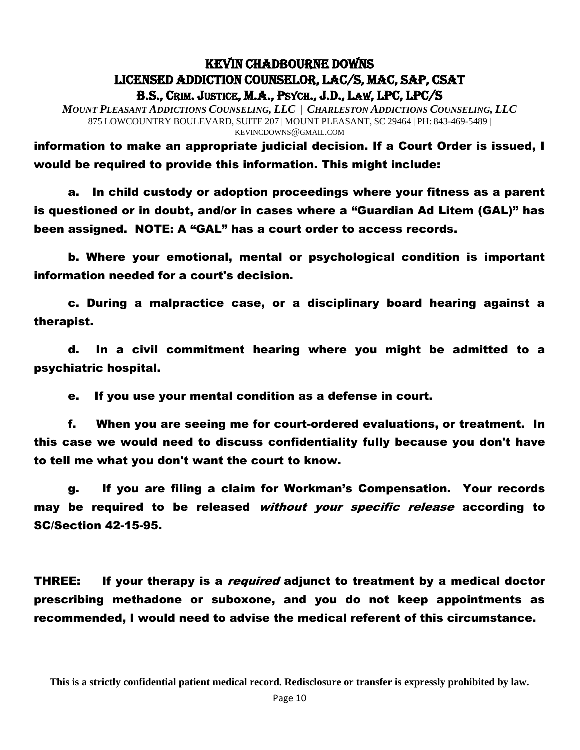MOUNT PLEASANT ADDICTIONS COUNSELING, LLC | CHARLESTON ADDICTIONS COUNSELING, LLC 875 LOWCOUNTRY BOULEVARD, SUITE 207 | MOUNT PLEASANT, SC 29464 | PH: 843-469-5489 | KEVINCDOWNS@GMAIL.COM

information to make an appropriate judicial decision. If a Court Order is issued, I would be required to provide this information. This might include:

a. In child custody or adoption proceedings where your fitness as a parent is questioned or in doubt, and/or in cases where a "Guardian Ad Litem (GAL)" has been assigned. NOTE: A "GAL" has a court order to access records.

b. Where your emotional, mental or psychological condition is important information needed for a court's decision.

c. During a malpractice case, or a disciplinary board hearing against a therapist.

d. In a civil commitment hearing where you might be admitted to a psychiatric hospital.

e. If you use your mental condition as a defense in court.

f. When you are seeing me for court-ordered evaluations, or treatment. In this case we would need to discuss confidentiality fully because you don't have to tell me what you don't want the court to know.

g. If you are filing a claim for Workman's Compensation. Your records may be required to be released without your specific release according to SC/Section 42-15-95.

THREE: If your therapy is a *required* adjunct to treatment by a medical doctor prescribing methadone or suboxone, and you do not keep appointments as recommended, I would need to advise the medical referent of this circumstance.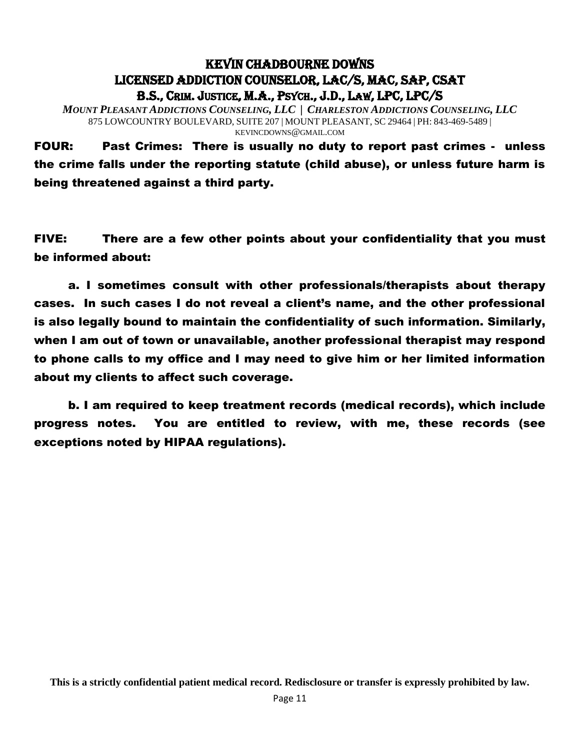MOUNT PLEASANT ADDICTIONS COUNSELING, LLC | CHARLESTON ADDICTIONS COUNSELING, LLC 875 LOWCOUNTRY BOULEVARD, SUITE 207 | MOUNT PLEASANT, SC 29464 | PH: 843-469-5489 | KEVINCDOWNS@GMAIL.COM

FOUR: Past Crimes: There is usually no duty to report past crimes - unless the crime falls under the reporting statute (child abuse), or unless future harm is being threatened against a third party.

FIVE: There are a few other points about your confidentiality that you must be informed about:

a. I sometimes consult with other professionals/therapists about therapy cases. In such cases I do not reveal a client's name, and the other professional is also legally bound to maintain the confidentiality of such information. Similarly, when I am out of town or unavailable, another professional therapist may respond to phone calls to my office and I may need to give him or her limited information about my clients to affect such coverage.

b. I am required to keep treatment records (medical records), which include progress notes. You are entitled to review, with me, these records (see exceptions noted by HIPAA regulations).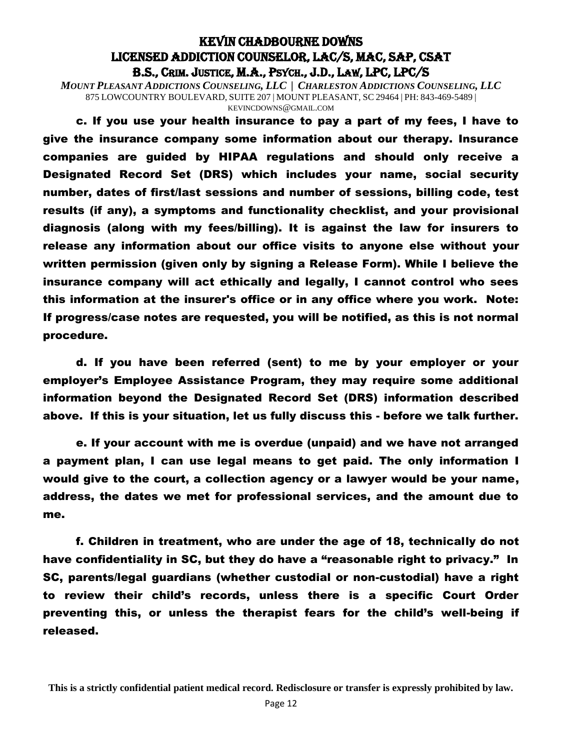MOUNT PLEASANT ADDICTIONS COUNSELING, LLC | CHARLESTON ADDICTIONS COUNSELING, LLC 875 LOWCOUNTRY BOULEVARD, SUITE 207 | MOUNT PLEASANT, SC 29464 | PH: 843-469-5489 | KEVINCDOWNS@GMAIL.COM

c. If you use your health insurance to pay a part of my fees, I have to give the insurance company some information about our therapy. Insurance companies are guided by HIPAA regulations and should only receive a Designated Record Set (DRS) which includes your name, social security number, dates of first/last sessions and number of sessions, billing code, test results (if any), a symptoms and functionality checklist, and your provisional diagnosis (along with my fees/billing). It is against the law for insurers to release any information about our office visits to anyone else without your written permission (given only by signing a Release Form). While I believe the insurance company will act ethically and legally, I cannot control who sees this information at the insurer's office or in any office where you work. Note: If progress/case notes are requested, you will be notified, as this is not normal procedure.

d. If you have been referred (sent) to me by your employer or your employer's Employee Assistance Program, they may require some additional information beyond the Designated Record Set (DRS) information described above. If this is your situation, let us fully discuss this - before we talk further.

e. If your account with me is overdue (unpaid) and we have not arranged a payment plan, I can use legal means to get paid. The only information I would give to the court, a collection agency or a lawyer would be your name, address, the dates we met for professional services, and the amount due to me.

 f. Children in treatment, who are under the age of 18, technically do not have confidentiality in SC, but they do have a "reasonable right to privacy." In SC, parents/legal guardians (whether custodial or non-custodial) have a right to review their child's records, unless there is a specific Court Order preventing this, or unless the therapist fears for the child's well-being if released.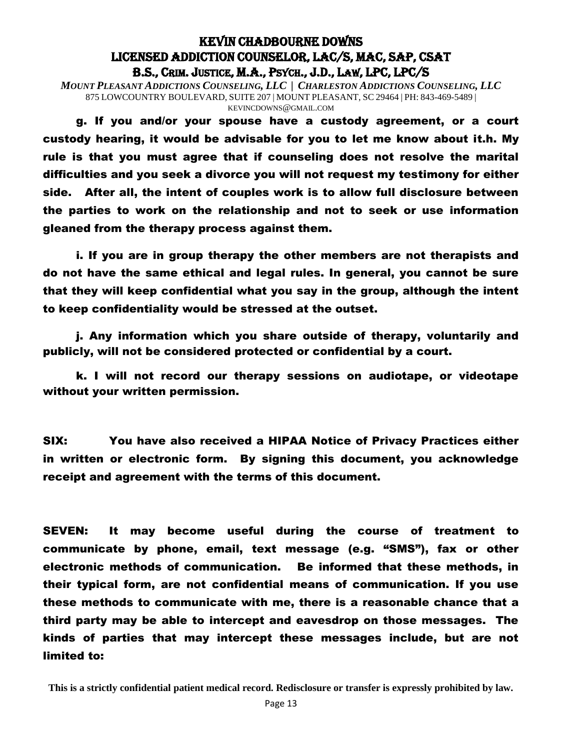MOUNT PLEASANT ADDICTIONS COUNSELING, LLC | CHARLESTON ADDICTIONS COUNSELING, LLC 875 LOWCOUNTRY BOULEVARD, SUITE 207 | MOUNT PLEASANT, SC 29464 | PH: 843-469-5489 | KEVINCDOWNS@GMAIL.COM

g. If you and/or your spouse have a custody agreement, or a court custody hearing, it would be advisable for you to let me know about it.h. My rule is that you must agree that if counseling does not resolve the marital difficulties and you seek a divorce you will not request my testimony for either side. After all, the intent of couples work is to allow full disclosure between the parties to work on the relationship and not to seek or use information gleaned from the therapy process against them.

i. If you are in group therapy the other members are not therapists and do not have the same ethical and legal rules. In general, you cannot be sure that they will keep confidential what you say in the group, although the intent to keep confidentiality would be stressed at the outset.

j. Any information which you share outside of therapy, voluntarily and publicly, will not be considered protected or confidential by a court.

k. I will not record our therapy sessions on audiotape, or videotape without your written permission.

SIX: You have also received a HIPAA Notice of Privacy Practices either in written or electronic form. By signing this document, you acknowledge receipt and agreement with the terms of this document.

SEVEN: It may become useful during the course of treatment to communicate by phone, email, text message (e.g. "SMS"), fax or other electronic methods of communication. Be informed that these methods, in their typical form, are not confidential means of communication. If you use these methods to communicate with me, there is a reasonable chance that a third party may be able to intercept and eavesdrop on those messages. The kinds of parties that may intercept these messages include, but are not limited to: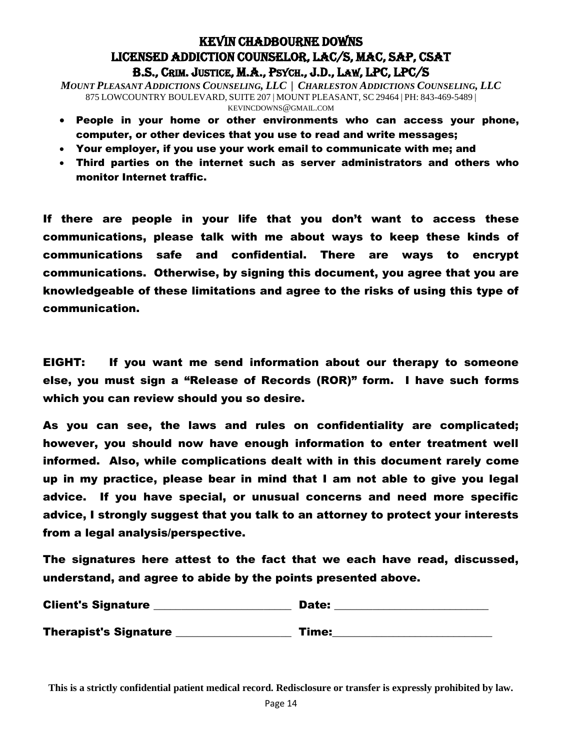MOUNT PLEASANT ADDICTIONS COUNSELING, LLC | CHARLESTON ADDICTIONS COUNSELING, LLC 875 LOWCOUNTRY BOULEVARD, SUITE 207 | MOUNT PLEASANT, SC 29464 | PH: 843-469-5489 | KEVINCDOWNS@GMAIL.COM

- People in your home or other environments who can access your phone, computer, or other devices that you use to read and write messages;
- Your employer, if you use your work email to communicate with me; and
- Third parties on the internet such as server administrators and others who monitor Internet traffic.

If there are people in your life that you don't want to access these communications, please talk with me about ways to keep these kinds of communications safe and confidential. There are ways to encrypt communications. Otherwise, by signing this document, you agree that you are knowledgeable of these limitations and agree to the risks of using this type of communication.

EIGHT: If you want me send information about our therapy to someone else, you must sign a "Release of Records (ROR)" form. I have such forms which you can review should you so desire.

As you can see, the laws and rules on confidentiality are complicated; however, you should now have enough information to enter treatment well informed. Also, while complications dealt with in this document rarely come up in my practice, please bear in mind that I am not able to give you legal advice. If you have special, or unusual concerns and need more specific advice, I strongly suggest that you talk to an attorney to protect your interests from a legal analysis/perspective.

The signatures here attest to the fact that we each have read, discussed, understand, and agree to abide by the points presented above.

| <b>Client's Signature</b>    | Date: |
|------------------------------|-------|
| <b>Therapist's Signature</b> | Time: |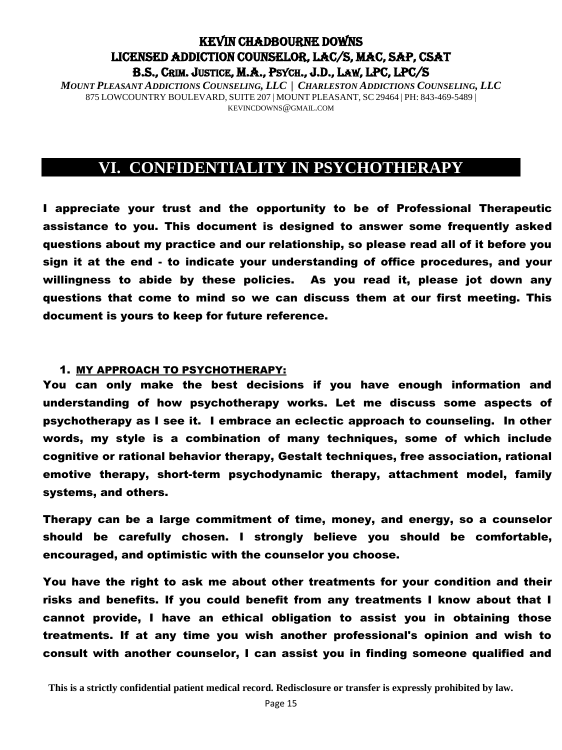MOUNT PLEASANT ADDICTIONS COUNSELING, LLC | CHARLESTON ADDICTIONS COUNSELING, LLC 875 LOWCOUNTRY BOULEVARD, SUITE 207 | MOUNT PLEASANT, SC 29464 | PH: 843-469-5489 | KEVINCDOWNS@GMAIL.COM

# **VI. CONFIDENTIALITY IN PSYCHOTHERAPY**

I appreciate your trust and the opportunity to be of Professional Therapeutic assistance to you. This document is designed to answer some frequently asked questions about my practice and our relationship, so please read all of it before you sign it at the end - to indicate your understanding of office procedures, and your willingness to abide by these policies. As you read it, please jot down any questions that come to mind so we can discuss them at our first meeting. This document is yours to keep for future reference.

#### 1. MY APPROACH TO PSYCHOTHERAPY:

You can only make the best decisions if you have enough information and understanding of how psychotherapy works. Let me discuss some aspects of psychotherapy as I see it. I embrace an eclectic approach to counseling. In other words, my style is a combination of many techniques, some of which include cognitive or rational behavior therapy, Gestalt techniques, free association, rational emotive therapy, short-term psychodynamic therapy, attachment model, family systems, and others.

Therapy can be a large commitment of time, money, and energy, so a counselor should be carefully chosen. I strongly believe you should be comfortable, encouraged, and optimistic with the counselor you choose.

You have the right to ask me about other treatments for your condition and their risks and benefits. If you could benefit from any treatments I know about that I cannot provide, I have an ethical obligation to assist you in obtaining those treatments. If at any time you wish another professional's opinion and wish to consult with another counselor, I can assist you in finding someone qualified and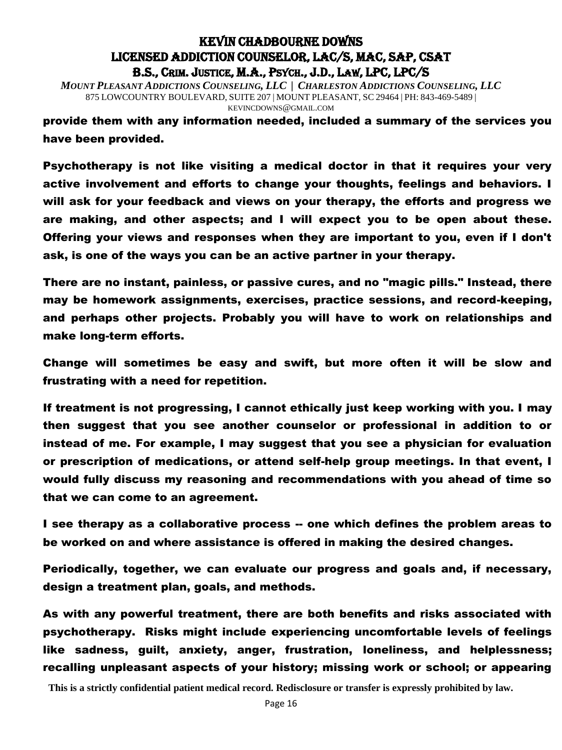MOUNT PLEASANT ADDICTIONS COUNSELING, LLC | CHARLESTON ADDICTIONS COUNSELING, LLC 875 LOWCOUNTRY BOULEVARD, SUITE 207 | MOUNT PLEASANT, SC 29464 | PH: 843-469-5489 | KEVINCDOWNS@GMAIL.COM

provide them with any information needed, included a summary of the services you have been provided.

Psychotherapy is not like visiting a medical doctor in that it requires your very active involvement and efforts to change your thoughts, feelings and behaviors. I will ask for your feedback and views on your therapy, the efforts and progress we are making, and other aspects; and I will expect you to be open about these. Offering your views and responses when they are important to you, even if I don't ask, is one of the ways you can be an active partner in your therapy.

There are no instant, painless, or passive cures, and no "magic pills." Instead, there may be homework assignments, exercises, practice sessions, and record-keeping, and perhaps other projects. Probably you will have to work on relationships and make long-term efforts.

Change will sometimes be easy and swift, but more often it will be slow and frustrating with a need for repetition.

If treatment is not progressing, I cannot ethically just keep working with you. I may then suggest that you see another counselor or professional in addition to or instead of me. For example, I may suggest that you see a physician for evaluation or prescription of medications, or attend self-help group meetings. In that event, I would fully discuss my reasoning and recommendations with you ahead of time so that we can come to an agreement.

I see therapy as a collaborative process -- one which defines the problem areas to be worked on and where assistance is offered in making the desired changes.

Periodically, together, we can evaluate our progress and goals and, if necessary, design a treatment plan, goals, and methods.

As with any powerful treatment, there are both benefits and risks associated with psychotherapy. Risks might include experiencing uncomfortable levels of feelings like sadness, guilt, anxiety, anger, frustration, loneliness, and helplessness; recalling unpleasant aspects of your history; missing work or school; or appearing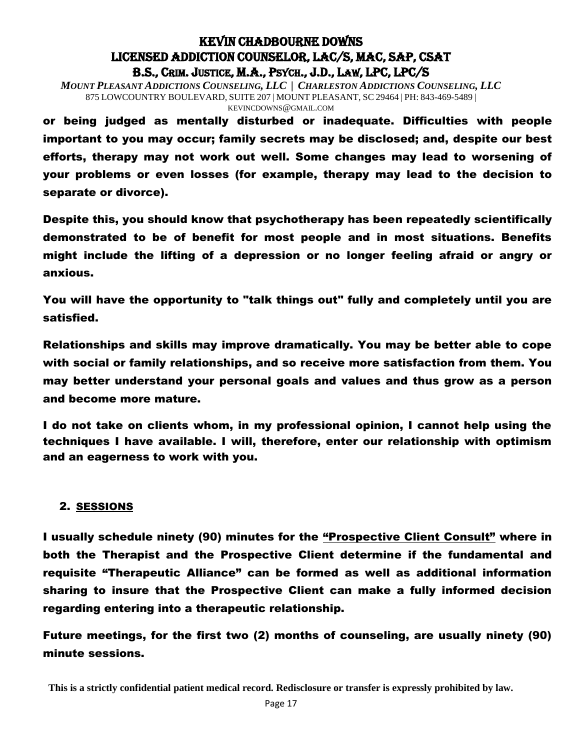MOUNT PLEASANT ADDICTIONS COUNSELING, LLC | CHARLESTON ADDICTIONS COUNSELING, LLC 875 LOWCOUNTRY BOULEVARD, SUITE 207 | MOUNT PLEASANT, SC 29464 | PH: 843-469-5489 | KEVINCDOWNS@GMAIL.COM

or being judged as mentally disturbed or inadequate. Difficulties with people important to you may occur; family secrets may be disclosed; and, despite our best efforts, therapy may not work out well. Some changes may lead to worsening of your problems or even losses (for example, therapy may lead to the decision to separate or divorce).

Despite this, you should know that psychotherapy has been repeatedly scientifically demonstrated to be of benefit for most people and in most situations. Benefits might include the lifting of a depression or no longer feeling afraid or angry or anxious.

You will have the opportunity to "talk things out" fully and completely until you are satisfied.

Relationships and skills may improve dramatically. You may be better able to cope with social or family relationships, and so receive more satisfaction from them. You may better understand your personal goals and values and thus grow as a person and become more mature.

I do not take on clients whom, in my professional opinion, I cannot help using the techniques I have available. I will, therefore, enter our relationship with optimism and an eagerness to work with you.

#### 2. SESSIONS

I usually schedule ninety (90) minutes for the "Prospective Client Consult" where in both the Therapist and the Prospective Client determine if the fundamental and requisite "Therapeutic Alliance" can be formed as well as additional information sharing to insure that the Prospective Client can make a fully informed decision regarding entering into a therapeutic relationship.

Future meetings, for the first two (2) months of counseling, are usually ninety (90) minute sessions.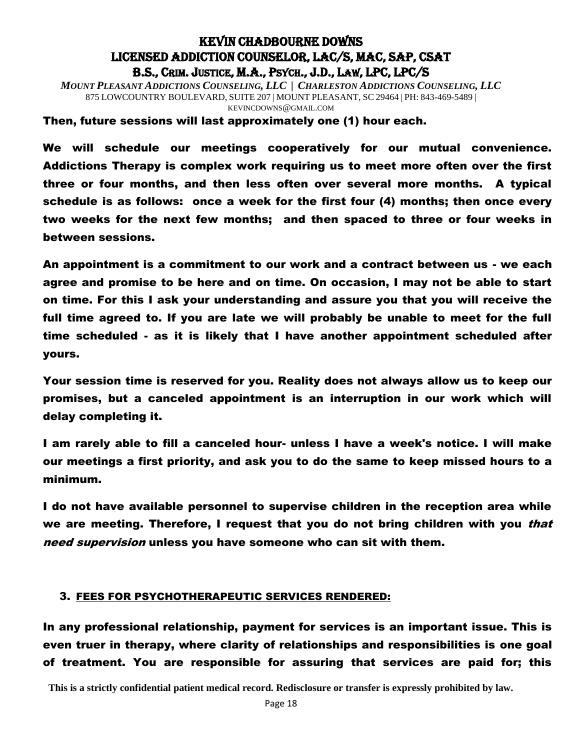MOUNT PLEASANT ADDICTIONS COUNSELING, LLC | CHARLESTON ADDICTIONS COUNSELING, LLC 875 LOWCOUNTRY BOULEVARD, SUITE 207 | MOUNT PLEASANT, SC 29464 | PH: 843-469-5489 | KEVINCDOWNS@GMAIL.COM

Then, future sessions will last approximately one (1) hour each.

We will schedule our meetings cooperatively for our mutual convenience. Addictions Therapy is complex work requiring us to meet more often over the first three or four months, and then less often over several more months. A typical schedule is as follows: once a week for the first four (4) months; then once every two weeks for the next few months; and then spaced to three or four weeks in between sessions.

An appointment is a commitment to our work and a contract between us - we each agree and promise to be here and on time. On occasion, I may not be able to start on time. For this I ask your understanding and assure you that you will receive the full time agreed to. If you are late we will probably be unable to meet for the full time scheduled - as it is likely that I have another appointment scheduled after yours.

Your session time is reserved for you. Reality does not always allow us to keep our promises, but a canceled appointment is an interruption in our work which will delay completing it.

I am rarely able to fill a canceled hour- unless I have a week's notice. I will make our meetings a first priority, and ask you to do the same to keep missed hours to a minimum.

I do not have available personnel to supervise children in the reception area while we are meeting. Therefore, I request that you do not bring children with you that need supervision unless you have someone who can sit with them.

#### 3. FEES FOR PSYCHOTHERAPEUTIC SERVICES RENDERED:

In any professional relationship, payment for services is an important issue. This is even truer in therapy, where clarity of relationships and responsibilities is one goal of treatment. You are responsible for assuring that services are paid for; this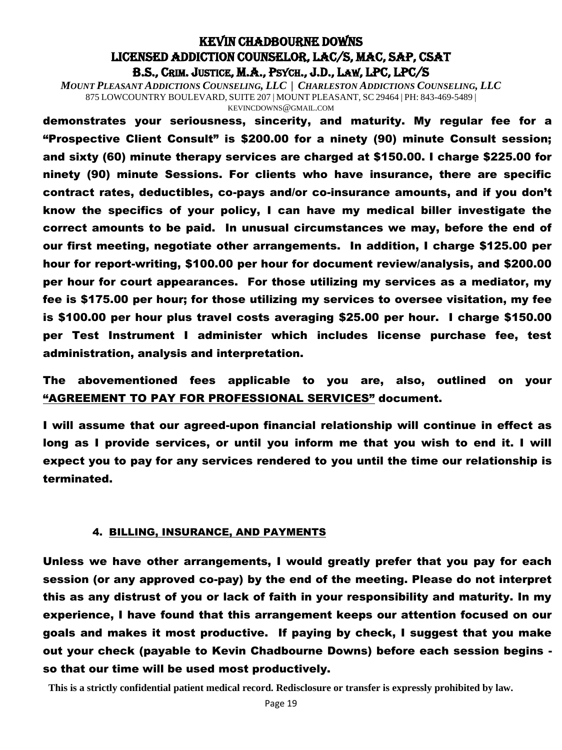MOUNT PLEASANT ADDICTIONS COUNSELING, LLC | CHARLESTON ADDICTIONS COUNSELING, LLC 875 LOWCOUNTRY BOULEVARD, SUITE 207 | MOUNT PLEASANT, SC 29464 | PH: 843-469-5489 | KEVINCDOWNS@GMAIL.COM

demonstrates your seriousness, sincerity, and maturity. My regular fee for a "Prospective Client Consult" is \$200.00 for a ninety (90) minute Consult session; and sixty (60) minute therapy services are charged at \$150.00. I charge \$225.00 for ninety (90) minute Sessions. For clients who have insurance, there are specific contract rates, deductibles, co-pays and/or co-insurance amounts, and if you don't know the specifics of your policy, I can have my medical biller investigate the correct amounts to be paid. In unusual circumstances we may, before the end of our first meeting, negotiate other arrangements. In addition, I charge \$125.00 per hour for report-writing, \$100.00 per hour for document review/analysis, and \$200.00 per hour for court appearances. For those utilizing my services as a mediator, my fee is \$175.00 per hour; for those utilizing my services to oversee visitation, my fee is \$100.00 per hour plus travel costs averaging \$25.00 per hour. I charge \$150.00 per Test Instrument I administer which includes license purchase fee, test administration, analysis and interpretation.

The abovementioned fees applicable to you are, also, outlined on your "AGREEMENT TO PAY FOR PROFESSIONAL SERVICES" document.

I will assume that our agreed-upon financial relationship will continue in effect as long as I provide services, or until you inform me that you wish to end it. I will expect you to pay for any services rendered to you until the time our relationship is terminated.

#### 4. BILLING, INSURANCE, AND PAYMENTS

Unless we have other arrangements, I would greatly prefer that you pay for each session (or any approved co-pay) by the end of the meeting. Please do not interpret this as any distrust of you or lack of faith in your responsibility and maturity. In my experience, I have found that this arrangement keeps our attention focused on our goals and makes it most productive. If paying by check, I suggest that you make out your check (payable to Kevin Chadbourne Downs) before each session begins so that our time will be used most productively.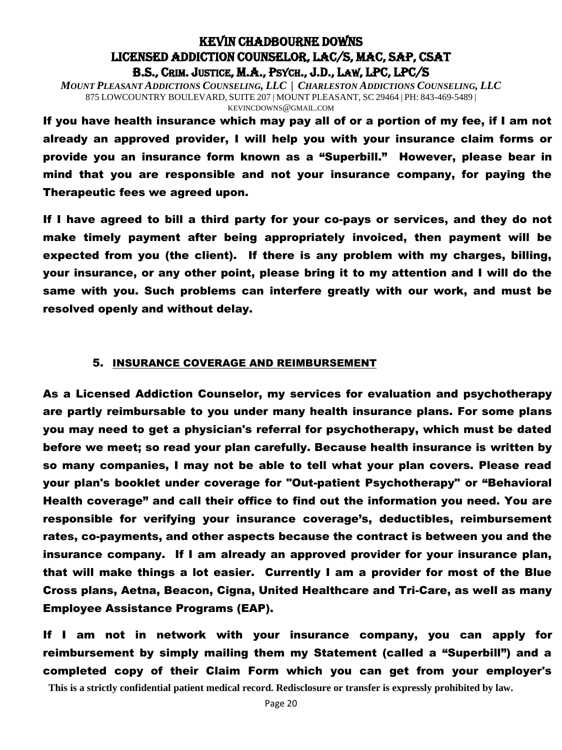MOUNT PLEASANT ADDICTIONS COUNSELING, LLC | CHARLESTON ADDICTIONS COUNSELING, LLC 875 LOWCOUNTRY BOULEVARD, SUITE 207 | MOUNT PLEASANT, SC 29464 | PH: 843-469-5489 | KEVINCDOWNS@GMAIL.COM

If you have health insurance which may pay all of or a portion of my fee, if I am not already an approved provider, I will help you with your insurance claim forms or provide you an insurance form known as a "Superbill." However, please bear in mind that you are responsible and not your insurance company, for paying the Therapeutic fees we agreed upon.

If I have agreed to bill a third party for your co-pays or services, and they do not make timely payment after being appropriately invoiced, then payment will be expected from you (the client). If there is any problem with my charges, billing, your insurance, or any other point, please bring it to my attention and I will do the same with you. Such problems can interfere greatly with our work, and must be resolved openly and without delay.

#### 5. INSURANCE COVERAGE AND REIMBURSEMENT

As a Licensed Addiction Counselor, my services for evaluation and psychotherapy are partly reimbursable to you under many health insurance plans. For some plans you may need to get a physician's referral for psychotherapy, which must be dated before we meet; so read your plan carefully. Because health insurance is written by so many companies, I may not be able to tell what your plan covers. Please read your plan's booklet under coverage for "Out-patient Psychotherapy" or "Behavioral Health coverage" and call their office to find out the information you need. You are responsible for verifying your insurance coverage's, deductibles, reimbursement rates, co-payments, and other aspects because the contract is between you and the insurance company. If I am already an approved provider for your insurance plan, that will make things a lot easier. Currently I am a provider for most of the Blue Cross plans, Aetna, Beacon, Cigna, United Healthcare and Tri-Care, as well as many Employee Assistance Programs (EAP).

**This is a strictly confidential patient medical record. Redisclosure or transfer is expressly prohibited by law.** If I am not in network with your insurance company, you can apply for reimbursement by simply mailing them my Statement (called a "Superbill") and a completed copy of their Claim Form which you can get from your employer's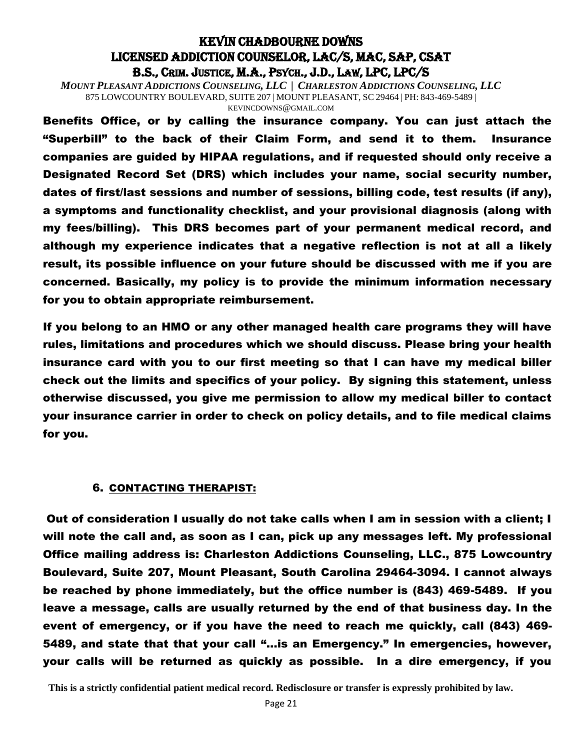MOUNT PLEASANT ADDICTIONS COUNSELING, LLC | CHARLESTON ADDICTIONS COUNSELING, LLC 875 LOWCOUNTRY BOULEVARD, SUITE 207 | MOUNT PLEASANT, SC 29464 | PH: 843-469-5489 | KEVINCDOWNS@GMAIL.COM

Benefits Office, or by calling the insurance company. You can just attach the "Superbill" to the back of their Claim Form, and send it to them. Insurance companies are guided by HIPAA regulations, and if requested should only receive a Designated Record Set (DRS) which includes your name, social security number, dates of first/last sessions and number of sessions, billing code, test results (if any), a symptoms and functionality checklist, and your provisional diagnosis (along with my fees/billing). This DRS becomes part of your permanent medical record, and although my experience indicates that a negative reflection is not at all a likely result, its possible influence on your future should be discussed with me if you are concerned. Basically, my policy is to provide the minimum information necessary for you to obtain appropriate reimbursement.

If you belong to an HMO or any other managed health care programs they will have rules, limitations and procedures which we should discuss. Please bring your health insurance card with you to our first meeting so that I can have my medical biller check out the limits and specifics of your policy. By signing this statement, unless otherwise discussed, you give me permission to allow my medical biller to contact your insurance carrier in order to check on policy details, and to file medical claims for you.

#### 6. CONTACTING THERAPIST:

Out of consideration I usually do not take calls when I am in session with a client; I will note the call and, as soon as I can, pick up any messages left. My professional Office mailing address is: Charleston Addictions Counseling, LLC., 875 Lowcountry Boulevard, Suite 207, Mount Pleasant, South Carolina 29464-3094. I cannot always be reached by phone immediately, but the office number is (843) 469-5489. If you leave a message, calls are usually returned by the end of that business day. In the event of emergency, or if you have the need to reach me quickly, call (843) 469- 5489, and state that that your call "…is an Emergency." In emergencies, however, your calls will be returned as quickly as possible. In a dire emergency, if you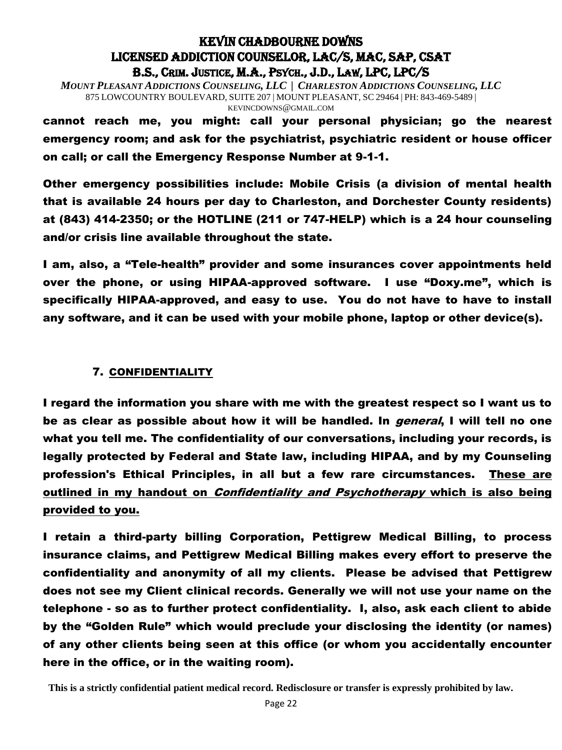MOUNT PLEASANT ADDICTIONS COUNSELING, LLC | CHARLESTON ADDICTIONS COUNSELING, LLC 875 LOWCOUNTRY BOULEVARD, SUITE 207 | MOUNT PLEASANT, SC 29464 | PH: 843-469-5489 | KEVINCDOWNS@GMAIL.COM

cannot reach me, you might: call your personal physician; go the nearest emergency room; and ask for the psychiatrist, psychiatric resident or house officer on call; or call the Emergency Response Number at 9-1-1.

Other emergency possibilities include: Mobile Crisis (a division of mental health that is available 24 hours per day to Charleston, and Dorchester County residents) at (843) 414-2350; or the HOTLINE (211 or 747-HELP) which is a 24 hour counseling and/or crisis line available throughout the state.

I am, also, a "Tele-health" provider and some insurances cover appointments held over the phone, or using HIPAA-approved software. I use "Doxy.me", which is specifically HIPAA-approved, and easy to use. You do not have to have to install any software, and it can be used with your mobile phone, laptop or other device(s).

#### 7. CONFIDENTIALITY

I regard the information you share with me with the greatest respect so I want us to be as clear as possible about how it will be handled. In *general*, I will tell no one what you tell me. The confidentiality of our conversations, including your records, is legally protected by Federal and State law, including HIPAA, and by my Counseling profession's Ethical Principles, in all but a few rare circumstances. These are outlined in my handout on *Confidentiality and Psychotherapy* which is also being provided to you.

I retain a third-party billing Corporation, Pettigrew Medical Billing, to process insurance claims, and Pettigrew Medical Billing makes every effort to preserve the confidentiality and anonymity of all my clients. Please be advised that Pettigrew does not see my Client clinical records. Generally we will not use your name on the telephone - so as to further protect confidentiality. I, also, ask each client to abide by the "Golden Rule" which would preclude your disclosing the identity (or names) of any other clients being seen at this office (or whom you accidentally encounter here in the office, or in the waiting room).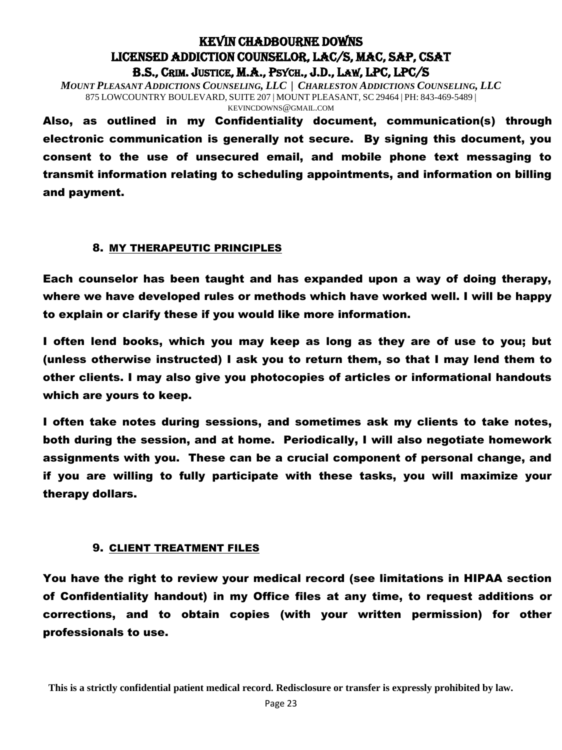MOUNT PLEASANT ADDICTIONS COUNSELING, LLC | CHARLESTON ADDICTIONS COUNSELING, LLC 875 LOWCOUNTRY BOULEVARD, SUITE 207 | MOUNT PLEASANT, SC 29464 | PH: 843-469-5489 | KEVINCDOWNS@GMAIL.COM

Also, as outlined in my Confidentiality document, communication(s) through electronic communication is generally not secure. By signing this document, you consent to the use of unsecured email, and mobile phone text messaging to transmit information relating to scheduling appointments, and information on billing and payment.

#### 8. MY THERAPEUTIC PRINCIPLES

Each counselor has been taught and has expanded upon a way of doing therapy, where we have developed rules or methods which have worked well. I will be happy to explain or clarify these if you would like more information.

I often lend books, which you may keep as long as they are of use to you; but (unless otherwise instructed) I ask you to return them, so that I may lend them to other clients. I may also give you photocopies of articles or informational handouts which are yours to keep.

I often take notes during sessions, and sometimes ask my clients to take notes, both during the session, and at home. Periodically, I will also negotiate homework assignments with you. These can be a crucial component of personal change, and if you are willing to fully participate with these tasks, you will maximize your therapy dollars.

#### 9. CLIENT TREATMENT FILES

You have the right to review your medical record (see limitations in HIPAA section of Confidentiality handout) in my Office files at any time, to request additions or corrections, and to obtain copies (with your written permission) for other professionals to use.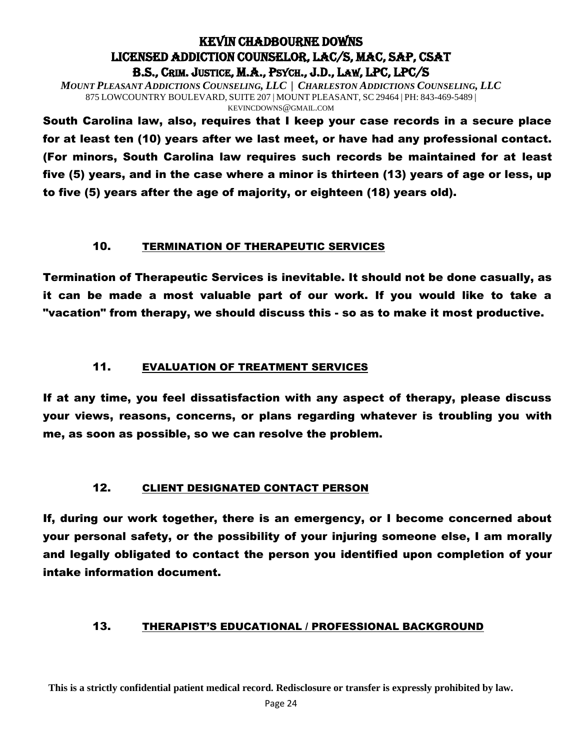MOUNT PLEASANT ADDICTIONS COUNSELING, LLC | CHARLESTON ADDICTIONS COUNSELING, LLC 875 LOWCOUNTRY BOULEVARD, SUITE 207 | MOUNT PLEASANT, SC 29464 | PH: 843-469-5489 | KEVINCDOWNS@GMAIL.COM

South Carolina law, also, requires that I keep your case records in a secure place for at least ten (10) years after we last meet, or have had any professional contact. (For minors, South Carolina law requires such records be maintained for at least five (5) years, and in the case where a minor is thirteen (13) years of age or less, up to five (5) years after the age of majority, or eighteen (18) years old).

#### 10. TERMINATION OF THERAPEUTIC SERVICES

Termination of Therapeutic Services is inevitable. It should not be done casually, as it can be made a most valuable part of our work. If you would like to take a "vacation" from therapy, we should discuss this - so as to make it most productive.

#### 11. EVALUATION OF TREATMENT SERVICES

If at any time, you feel dissatisfaction with any aspect of therapy, please discuss your views, reasons, concerns, or plans regarding whatever is troubling you with me, as soon as possible, so we can resolve the problem.

#### 12. CLIENT DESIGNATED CONTACT PERSON

If, during our work together, there is an emergency, or I become concerned about your personal safety, or the possibility of your injuring someone else, I am morally and legally obligated to contact the person you identified upon completion of your intake information document.

#### 13. THERAPIST'S EDUCATIONAL / PROFESSIONAL BACKGROUND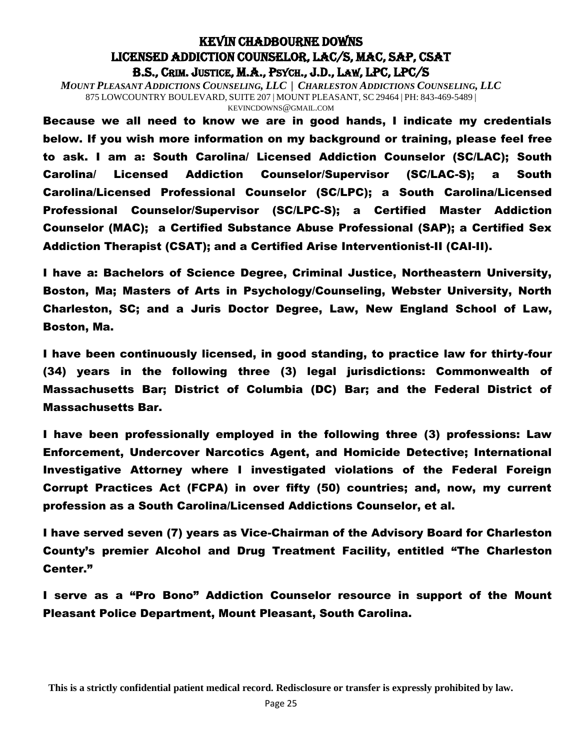MOUNT PLEASANT ADDICTIONS COUNSELING, LLC | CHARLESTON ADDICTIONS COUNSELING, LLC 875 LOWCOUNTRY BOULEVARD, SUITE 207 | MOUNT PLEASANT, SC 29464 | PH: 843-469-5489 | KEVINCDOWNS@GMAIL.COM

Because we all need to know we are in good hands, I indicate my credentials below. If you wish more information on my background or training, please feel free to ask. I am a: South Carolina/ Licensed Addiction Counselor (SC/LAC); South Carolina/ Licensed Addiction Counselor/Supervisor (SC/LAC-S); a South Carolina/Licensed Professional Counselor (SC/LPC); a South Carolina/Licensed Professional Counselor/Supervisor (SC/LPC-S); a Certified Master Addiction Counselor (MAC); a Certified Substance Abuse Professional (SAP); a Certified Sex Addiction Therapist (CSAT); and a Certified Arise Interventionist-II (CAI-II).

I have a: Bachelors of Science Degree, Criminal Justice, Northeastern University, Boston, Ma; Masters of Arts in Psychology/Counseling, Webster University, North Charleston, SC; and a Juris Doctor Degree, Law, New England School of Law, Boston, Ma.

I have been continuously licensed, in good standing, to practice law for thirty-four (34) years in the following three (3) legal jurisdictions: Commonwealth of Massachusetts Bar; District of Columbia (DC) Bar; and the Federal District of Massachusetts Bar.

I have been professionally employed in the following three (3) professions: Law Enforcement, Undercover Narcotics Agent, and Homicide Detective; International Investigative Attorney where I investigated violations of the Federal Foreign Corrupt Practices Act (FCPA) in over fifty (50) countries; and, now, my current profession as a South Carolina/Licensed Addictions Counselor, et al.

I have served seven (7) years as Vice-Chairman of the Advisory Board for Charleston County's premier Alcohol and Drug Treatment Facility, entitled "The Charleston Center."

I serve as a "Pro Bono" Addiction Counselor resource in support of the Mount Pleasant Police Department, Mount Pleasant, South Carolina.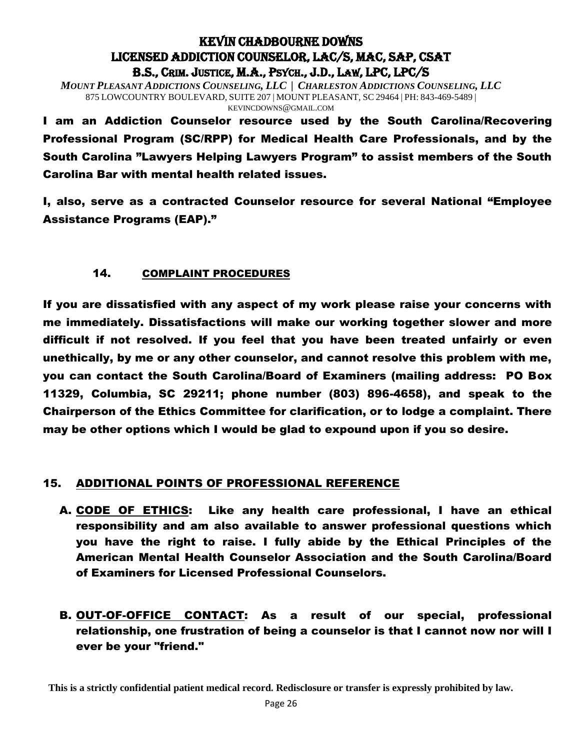MOUNT PLEASANT ADDICTIONS COUNSELING, LLC | CHARLESTON ADDICTIONS COUNSELING, LLC 875 LOWCOUNTRY BOULEVARD, SUITE 207 | MOUNT PLEASANT, SC 29464 | PH: 843-469-5489 | KEVINCDOWNS@GMAIL.COM

I am an Addiction Counselor resource used by the South Carolina/Recovering Professional Program (SC/RPP) for Medical Health Care Professionals, and by the South Carolina "Lawyers Helping Lawyers Program" to assist members of the South Carolina Bar with mental health related issues.

I, also, serve as a contracted Counselor resource for several National "Employee Assistance Programs (EAP)."

#### 14. COMPLAINT PROCEDURES

If you are dissatisfied with any aspect of my work please raise your concerns with me immediately. Dissatisfactions will make our working together slower and more difficult if not resolved. If you feel that you have been treated unfairly or even unethically, by me or any other counselor, and cannot resolve this problem with me, you can contact the South Carolina/Board of Examiners (mailing address: PO Box 11329, Columbia, SC 29211; phone number (803) 896-4658), and speak to the Chairperson of the Ethics Committee for clarification, or to lodge a complaint. There may be other options which I would be glad to expound upon if you so desire.

#### 15. ADDITIONAL POINTS OF PROFESSIONAL REFERENCE

- A. CODE OF ETHICS: Like any health care professional, I have an ethical responsibility and am also available to answer professional questions which you have the right to raise. I fully abide by the Ethical Principles of the American Mental Health Counselor Association and the South Carolina/Board of Examiners for Licensed Professional Counselors.
- B. OUT-OF-OFFICE CONTACT: As a result of our special, professional relationship, one frustration of being a counselor is that I cannot now nor will I ever be your "friend."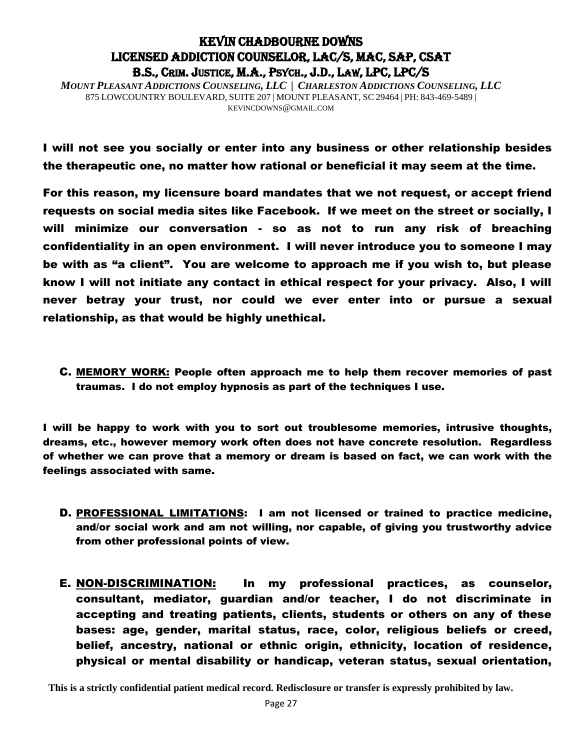MOUNT PLEASANT ADDICTIONS COUNSELING, LLC | CHARLESTON ADDICTIONS COUNSELING, LLC 875 LOWCOUNTRY BOULEVARD, SUITE 207 | MOUNT PLEASANT, SC 29464 | PH: 843-469-5489 | KEVINCDOWNS@GMAIL.COM

I will not see you socially or enter into any business or other relationship besides the therapeutic one, no matter how rational or beneficial it may seem at the time.

For this reason, my licensure board mandates that we not request, or accept friend requests on social media sites like Facebook. If we meet on the street or socially, I will minimize our conversation - so as not to run any risk of breaching confidentiality in an open environment. I will never introduce you to someone I may be with as "a client". You are welcome to approach me if you wish to, but please know I will not initiate any contact in ethical respect for your privacy. Also, I will never betray your trust, nor could we ever enter into or pursue a sexual relationship, as that would be highly unethical.

C. MEMORY WORK: People often approach me to help them recover memories of past traumas. I do not employ hypnosis as part of the techniques I use.

I will be happy to work with you to sort out troublesome memories, intrusive thoughts, dreams, etc., however memory work often does not have concrete resolution. Regardless of whether we can prove that a memory or dream is based on fact, we can work with the feelings associated with same.

- D. PROFESSIONAL LIMITATIONS: I am not licensed or trained to practice medicine, and/or social work and am not willing, nor capable, of giving you trustworthy advice from other professional points of view.
- E. NON-DISCRIMINATION: In my professional practices, as counselor, consultant, mediator, guardian and/or teacher, I do not discriminate in accepting and treating patients, clients, students or others on any of these bases: age, gender, marital status, race, color, religious beliefs or creed, belief, ancestry, national or ethnic origin, ethnicity, location of residence, physical or mental disability or handicap, veteran status, sexual orientation,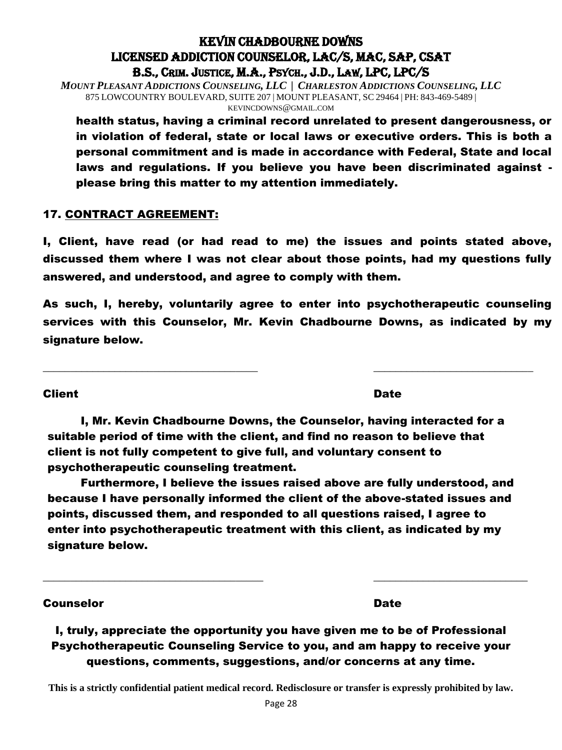MOUNT PLEASANT ADDICTIONS COUNSELING, LLC | CHARLESTON ADDICTIONS COUNSELING, LLC 875 LOWCOUNTRY BOULEVARD, SUITE 207 | MOUNT PLEASANT, SC 29464 | PH: 843-469-5489 | KEVINCDOWNS@GMAIL.COM

health status, having a criminal record unrelated to present dangerousness, or in violation of federal, state or local laws or executive orders. This is both a personal commitment and is made in accordance with Federal, State and local laws and regulations. If you believe you have been discriminated against please bring this matter to my attention immediately.

#### 17. CONTRACT AGREEMENT:

I, Client, have read (or had read to me) the issues and points stated above, discussed them where I was not clear about those points, had my questions fully answered, and understood, and agree to comply with them.

As such, I, hereby, voluntarily agree to enter into psychotherapeutic counseling services with this Counselor, Mr. Kevin Chadbourne Downs, as indicated by my signature below.

\_\_\_\_\_\_\_\_\_\_\_\_\_\_\_\_\_\_\_\_\_\_\_\_\_\_\_\_\_\_\_\_\_\_\_\_\_\_\_ \_\_\_\_\_\_\_\_\_\_\_\_\_\_\_\_\_\_\_\_\_\_\_\_\_\_\_\_\_

**Client** Date **Date** 

I, Mr. Kevin Chadbourne Downs, the Counselor, having interacted for a suitable period of time with the client, and find no reason to believe that client is not fully competent to give full, and voluntary consent to psychotherapeutic counseling treatment.

Furthermore, I believe the issues raised above are fully understood, and because I have personally informed the client of the above-stated issues and points, discussed them, and responded to all questions raised, I agree to enter into psychotherapeutic treatment with this client, as indicated by my signature below.

 $\_$  , and the set of the set of the set of the set of the set of the set of the set of the set of the set of the set of the set of the set of the set of the set of the set of the set of the set of the set of the set of th

#### **Counselor** Date **Date**

I, truly, appreciate the opportunity you have given me to be of Professional Psychotherapeutic Counseling Service to you, and am happy to receive your questions, comments, suggestions, and/or concerns at any time.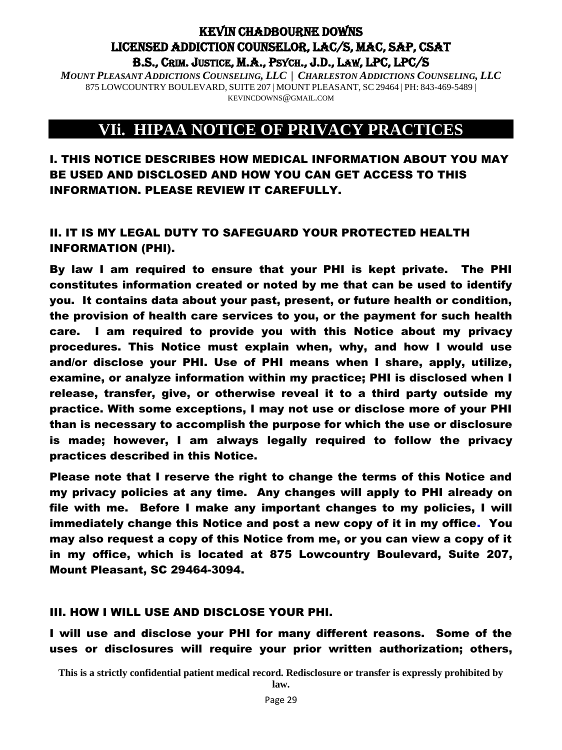MOUNT PLEASANT ADDICTIONS COUNSELING, LLC | CHARLESTON ADDICTIONS COUNSELING, LLC 875 LOWCOUNTRY BOULEVARD, SUITE 207 | MOUNT PLEASANT, SC 29464 | PH: 843-469-5489 | KEVINCDOWNS@GMAIL.COM

# **VIi. HIPAA NOTICE OF PRIVACY PRACTICES**

# I. THIS NOTICE DESCRIBES HOW MEDICAL INFORMATION ABOUT YOU MAY BE USED AND DISCLOSED AND HOW YOU CAN GET ACCESS TO THIS INFORMATION. PLEASE REVIEW IT CAREFULLY.

## II. IT IS MY LEGAL DUTY TO SAFEGUARD YOUR PROTECTED HEALTH INFORMATION (PHI).

By law I am required to ensure that your PHI is kept private. The PHI constitutes information created or noted by me that can be used to identify you. It contains data about your past, present, or future health or condition, the provision of health care services to you, or the payment for such health care. I am required to provide you with this Notice about my privacy procedures. This Notice must explain when, why, and how I would use and/or disclose your PHI. Use of PHI means when I share, apply, utilize, examine, or analyze information within my practice; PHI is disclosed when I release, transfer, give, or otherwise reveal it to a third party outside my practice. With some exceptions, I may not use or disclose more of your PHI than is necessary to accomplish the purpose for which the use or disclosure is made; however, I am always legally required to follow the privacy practices described in this Notice.

Please note that I reserve the right to change the terms of this Notice and my privacy policies at any time. Any changes will apply to PHI already on file with me. Before I make any important changes to my policies, I will immediately change this Notice and post a new copy of it in my office. You may also request a copy of this Notice from me, or you can view a copy of it in my office, which is located at 875 Lowcountry Boulevard, Suite 207, Mount Pleasant, SC 29464-3094.

#### III. HOW I WILL USE AND DISCLOSE YOUR PHI.

I will use and disclose your PHI for many different reasons. Some of the uses or disclosures will require your prior written authorization; others,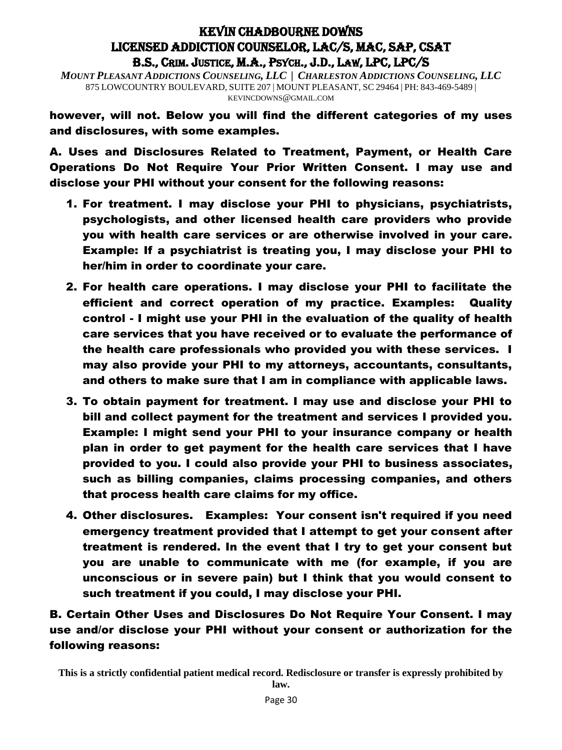MOUNT PLEASANT ADDICTIONS COUNSELING, LLC | CHARLESTON ADDICTIONS COUNSELING, LLC 875 LOWCOUNTRY BOULEVARD, SUITE 207 | MOUNT PLEASANT, SC 29464 | PH: 843-469-5489 | KEVINCDOWNS@GMAIL.COM

however, will not. Below you will find the different categories of my uses and disclosures, with some examples.

A. Uses and Disclosures Related to Treatment, Payment, or Health Care Operations Do Not Require Your Prior Written Consent. I may use and disclose your PHI without your consent for the following reasons:

- 1. For treatment. I may disclose your PHI to physicians, psychiatrists, psychologists, and other licensed health care providers who provide you with health care services or are otherwise involved in your care. Example: If a psychiatrist is treating you, I may disclose your PHI to her/him in order to coordinate your care.
- 2. For health care operations. I may disclose your PHI to facilitate the efficient and correct operation of my practice. Examples: Quality control - I might use your PHI in the evaluation of the quality of health care services that you have received or to evaluate the performance of the health care professionals who provided you with these services. I may also provide your PHI to my attorneys, accountants, consultants, and others to make sure that I am in compliance with applicable laws.
- 3. To obtain payment for treatment. I may use and disclose your PHI to bill and collect payment for the treatment and services I provided you. Example: I might send your PHI to your insurance company or health plan in order to get payment for the health care services that I have provided to you. I could also provide your PHI to business associates, such as billing companies, claims processing companies, and others that process health care claims for my office.
- 4. Other disclosures. Examples: Your consent isn't required if you need emergency treatment provided that I attempt to get your consent after treatment is rendered. In the event that I try to get your consent but you are unable to communicate with me (for example, if you are unconscious or in severe pain) but I think that you would consent to such treatment if you could, I may disclose your PHI.

# B. Certain Other Uses and Disclosures Do Not Require Your Consent. I may use and/or disclose your PHI without your consent or authorization for the following reasons: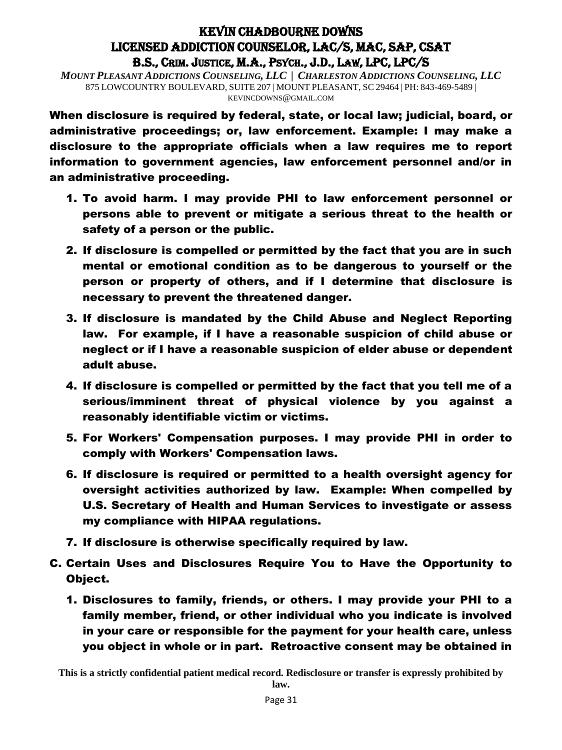MOUNT PLEASANT ADDICTIONS COUNSELING, LLC | CHARLESTON ADDICTIONS COUNSELING, LLC 875 LOWCOUNTRY BOULEVARD, SUITE 207 | MOUNT PLEASANT, SC 29464 | PH: 843-469-5489 | KEVINCDOWNS@GMAIL.COM

When disclosure is required by federal, state, or local law; judicial, board, or administrative proceedings; or, law enforcement. Example: I may make a disclosure to the appropriate officials when a law requires me to report information to government agencies, law enforcement personnel and/or in an administrative proceeding.

- 1. To avoid harm. I may provide PHI to law enforcement personnel or persons able to prevent or mitigate a serious threat to the health or safety of a person or the public.
- 2. If disclosure is compelled or permitted by the fact that you are in such mental or emotional condition as to be dangerous to yourself or the person or property of others, and if I determine that disclosure is necessary to prevent the threatened danger.
- 3. If disclosure is mandated by the Child Abuse and Neglect Reporting law. For example, if I have a reasonable suspicion of child abuse or neglect or if I have a reasonable suspicion of elder abuse or dependent adult abuse.
- 4. If disclosure is compelled or permitted by the fact that you tell me of a serious/imminent threat of physical violence by you against a reasonably identifiable victim or victims.
- 5. For Workers' Compensation purposes. I may provide PHI in order to comply with Workers' Compensation laws.
- 6. If disclosure is required or permitted to a health oversight agency for oversight activities authorized by law. Example: When compelled by U.S. Secretary of Health and Human Services to investigate or assess my compliance with HIPAA regulations.
- 7. If disclosure is otherwise specifically required by law.
- C. Certain Uses and Disclosures Require You to Have the Opportunity to Object.
	- 1. Disclosures to family, friends, or others. I may provide your PHI to a family member, friend, or other individual who you indicate is involved in your care or responsible for the payment for your health care, unless you object in whole or in part. Retroactive consent may be obtained in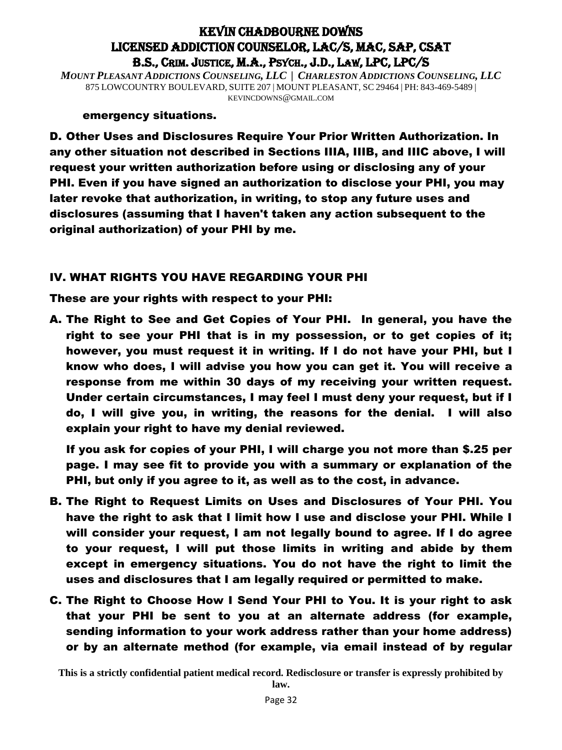MOUNT PLEASANT ADDICTIONS COUNSELING, LLC | CHARLESTON ADDICTIONS COUNSELING, LLC 875 LOWCOUNTRY BOULEVARD, SUITE 207 | MOUNT PLEASANT, SC 29464 | PH: 843-469-5489 | KEVINCDOWNS@GMAIL.COM

#### emergency situations.

D. Other Uses and Disclosures Require Your Prior Written Authorization. In any other situation not described in Sections IIIA, IIIB, and IIIC above, I will request your written authorization before using or disclosing any of your PHI. Even if you have signed an authorization to disclose your PHI, you may later revoke that authorization, in writing, to stop any future uses and disclosures (assuming that I haven't taken any action subsequent to the original authorization) of your PHI by me.

#### IV. WHAT RIGHTS YOU HAVE REGARDING YOUR PHI

These are your rights with respect to your PHI:

A. The Right to See and Get Copies of Your PHI. In general, you have the right to see your PHI that is in my possession, or to get copies of it; however, you must request it in writing. If I do not have your PHI, but I know who does, I will advise you how you can get it. You will receive a response from me within 30 days of my receiving your written request. Under certain circumstances, I may feel I must deny your request, but if I do, I will give you, in writing, the reasons for the denial. I will also explain your right to have my denial reviewed.

If you ask for copies of your PHI, I will charge you not more than \$.25 per page. I may see fit to provide you with a summary or explanation of the PHI, but only if you agree to it, as well as to the cost, in advance.

- B. The Right to Request Limits on Uses and Disclosures of Your PHI. You have the right to ask that I limit how I use and disclose your PHI. While I will consider your request, I am not legally bound to agree. If I do agree to your request, I will put those limits in writing and abide by them except in emergency situations. You do not have the right to limit the uses and disclosures that I am legally required or permitted to make.
- C. The Right to Choose How I Send Your PHI to You. It is your right to ask that your PHI be sent to you at an alternate address (for example, sending information to your work address rather than your home address) or by an alternate method (for example, via email instead of by regular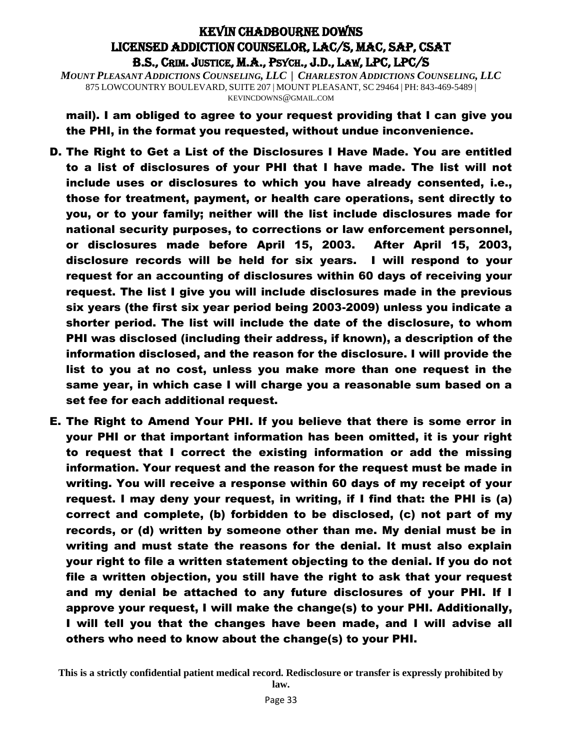MOUNT PLEASANT ADDICTIONS COUNSELING, LLC | CHARLESTON ADDICTIONS COUNSELING, LLC 875 LOWCOUNTRY BOULEVARD, SUITE 207 | MOUNT PLEASANT, SC 29464 | PH: 843-469-5489 | KEVINCDOWNS@GMAIL.COM

mail). I am obliged to agree to your request providing that I can give you the PHI, in the format you requested, without undue inconvenience.

- D. The Right to Get a List of the Disclosures I Have Made. You are entitled to a list of disclosures of your PHI that I have made. The list will not include uses or disclosures to which you have already consented, i.e., those for treatment, payment, or health care operations, sent directly to you, or to your family; neither will the list include disclosures made for national security purposes, to corrections or law enforcement personnel, or disclosures made before April 15, 2003. After April 15, 2003, disclosure records will be held for six years. I will respond to your request for an accounting of disclosures within 60 days of receiving your request. The list I give you will include disclosures made in the previous six years (the first six year period being 2003-2009) unless you indicate a shorter period. The list will include the date of the disclosure, to whom PHI was disclosed (including their address, if known), a description of the information disclosed, and the reason for the disclosure. I will provide the list to you at no cost, unless you make more than one request in the same year, in which case I will charge you a reasonable sum based on a set fee for each additional request.
- E. The Right to Amend Your PHI. If you believe that there is some error in your PHI or that important information has been omitted, it is your right to request that I correct the existing information or add the missing information. Your request and the reason for the request must be made in writing. You will receive a response within 60 days of my receipt of your request. I may deny your request, in writing, if I find that: the PHI is (a) correct and complete, (b) forbidden to be disclosed, (c) not part of my records, or (d) written by someone other than me. My denial must be in writing and must state the reasons for the denial. It must also explain your right to file a written statement objecting to the denial. If you do not file a written objection, you still have the right to ask that your request and my denial be attached to any future disclosures of your PHI. If I approve your request, I will make the change(s) to your PHI. Additionally, I will tell you that the changes have been made, and I will advise all others who need to know about the change(s) to your PHI.